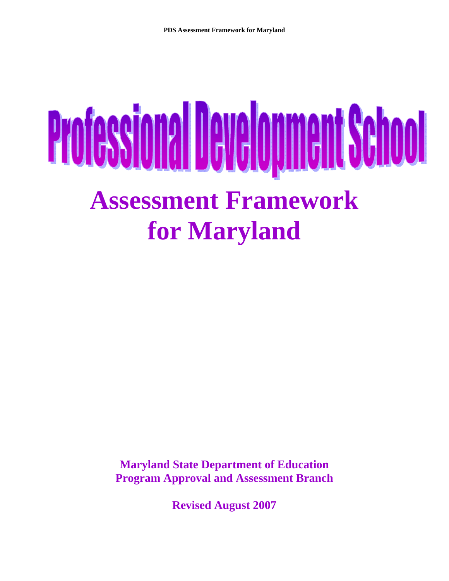# **Professional Development School Assessment Framework for Maryland**

**Maryland State Department of Education Program Approval and Assessment Branch** 

**Revised August 2007**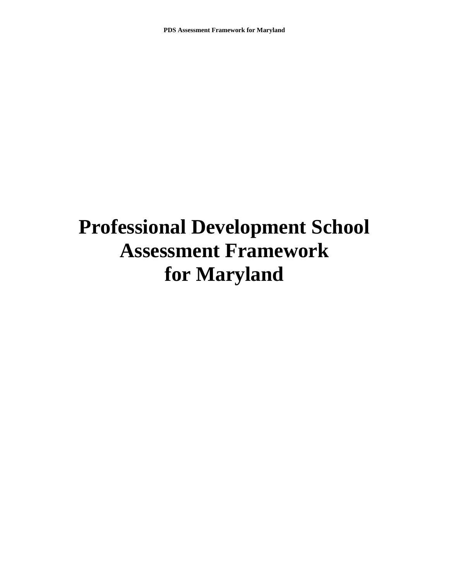# **Professional Development School Assessment Framework for Maryland**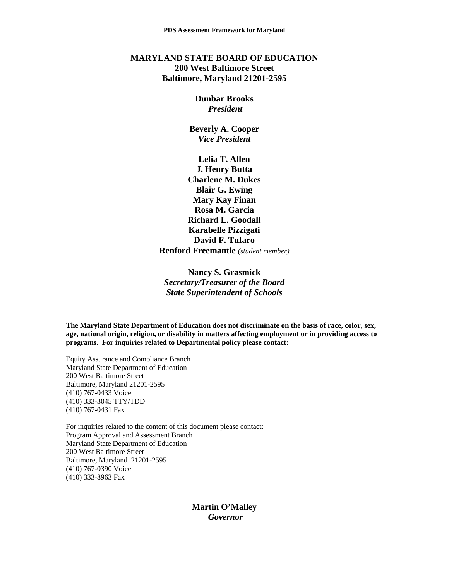### **MARYLAND STATE BOARD OF EDUCATION 200 West Baltimore Street Baltimore, Maryland 21201-2595**

### **Dunbar Brooks**  *President*

**Beverly A. Cooper**  *Vice President* 

**Lelia T. Allen J. Henry Butta Charlene M. Dukes Blair G. Ewing Mary Kay Finan Rosa M. Garcia Richard L. Goodall Karabelle Pizzigati David F. Tufaro Renford Freemantle** *(student member)*

**Nancy S. Grasmick**  *Secretary/Treasurer of the Board State Superintendent of Schools* 

**The Maryland State Department of Education does not discriminate on the basis of race, color, sex, age, national origin, religion, or disability in matters affecting employment or in providing access to programs. For inquiries related to Departmental policy please contact:** 

Equity Assurance and Compliance Branch Maryland State Department of Education 200 West Baltimore Street Baltimore, Maryland 21201-2595 (410) 767-0433 Voice (410) 333-3045 TTY/TDD (410) 767-0431 Fax

For inquiries related to the content of this document please contact: Program Approval and Assessment Branch Maryland State Department of Education 200 West Baltimore Street Baltimore, Maryland 21201-2595 (410) 767-0390 Voice (410) 333-8963 Fax

> **Martin O'Malley**   *Governor*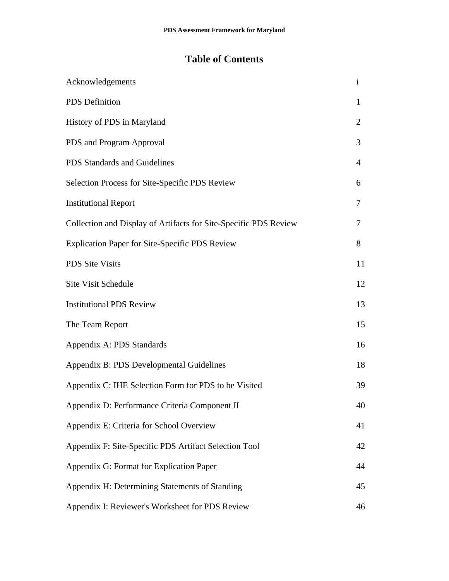# **Table of Contents**

| Acknowledgements                                                 | $\mathbf{i}$   |
|------------------------------------------------------------------|----------------|
| <b>PDS</b> Definition                                            | $\mathbf{1}$   |
| History of PDS in Maryland                                       | $\overline{2}$ |
| PDS and Program Approval                                         | 3              |
| PDS Standards and Guidelines                                     | $\overline{4}$ |
| Selection Process for Site-Specific PDS Review                   | 6              |
| <b>Institutional Report</b>                                      | 7              |
| Collection and Display of Artifacts for Site-Specific PDS Review | 7              |
| <b>Explication Paper for Site-Specific PDS Review</b>            | 8              |
| PDS Site Visits                                                  | 11             |
| <b>Site Visit Schedule</b>                                       | 12             |
| <b>Institutional PDS Review</b>                                  | 13             |
| The Team Report                                                  | 15             |
| Appendix A: PDS Standards                                        | 16             |
| Appendix B: PDS Developmental Guidelines                         | 18             |
| Appendix C: IHE Selection Form for PDS to be Visited             | 39             |
| Appendix D: Performance Criteria Component II                    | 40             |
| Appendix E: Criteria for School Overview                         | 41             |
| Appendix F: Site-Specific PDS Artifact Selection Tool            | 42             |
| Appendix G: Format for Explication Paper                         | 44             |
| Appendix H: Determining Statements of Standing                   | 45             |
| Appendix I: Reviewer's Worksheet for PDS Review                  | 46             |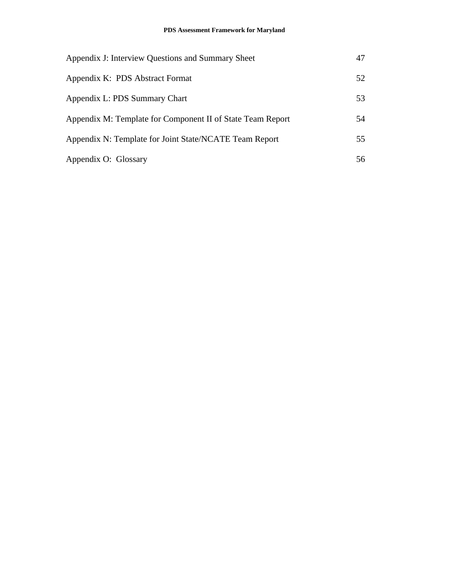| Appendix J: Interview Questions and Summary Sheet          | 47  |
|------------------------------------------------------------|-----|
| Appendix K: PDS Abstract Format                            | 52  |
| Appendix L: PDS Summary Chart                              | 53  |
| Appendix M: Template for Component II of State Team Report | 54  |
| Appendix N: Template for Joint State/NCATE Team Report     | 55  |
| Appendix O: Glossary                                       | 56. |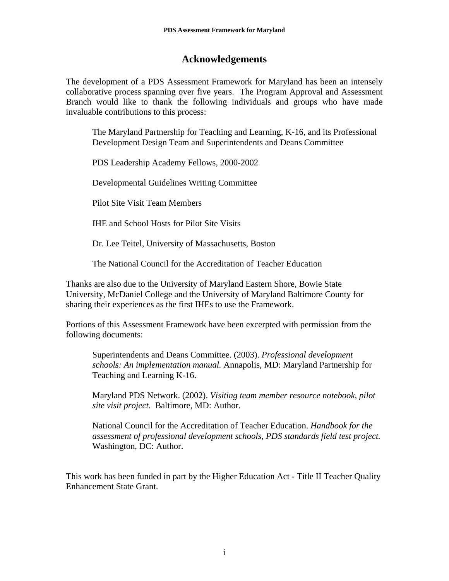# **Acknowledgements**

The development of a PDS Assessment Framework for Maryland has been an intensely collaborative process spanning over five years. The Program Approval and Assessment Branch would like to thank the following individuals and groups who have made invaluable contributions to this process:

The Maryland Partnership for Teaching and Learning, K-16, and its Professional Development Design Team and Superintendents and Deans Committee

PDS Leadership Academy Fellows, 2000-2002

Developmental Guidelines Writing Committee

Pilot Site Visit Team Members

IHE and School Hosts for Pilot Site Visits

Dr. Lee Teitel, University of Massachusetts, Boston

The National Council for the Accreditation of Teacher Education

Thanks are also due to the University of Maryland Eastern Shore, Bowie State University, McDaniel College and the University of Maryland Baltimore County for sharing their experiences as the first IHEs to use the Framework.

Portions of this Assessment Framework have been excerpted with permission from the following documents:

Superintendents and Deans Committee. (2003). *Professional development schools: An implementation manual.* Annapolis, MD: Maryland Partnership for Teaching and Learning K-16.

Maryland PDS Network. (2002). *Visiting team member resource notebook, pilot site visit project.* Baltimore, MD: Author.

National Council for the Accreditation of Teacher Education. *Handbook for the assessment of professional development schools, PDS standards field test project.*  Washington, DC: Author.

This work has been funded in part by the Higher Education Act - Title II Teacher Quality Enhancement State Grant.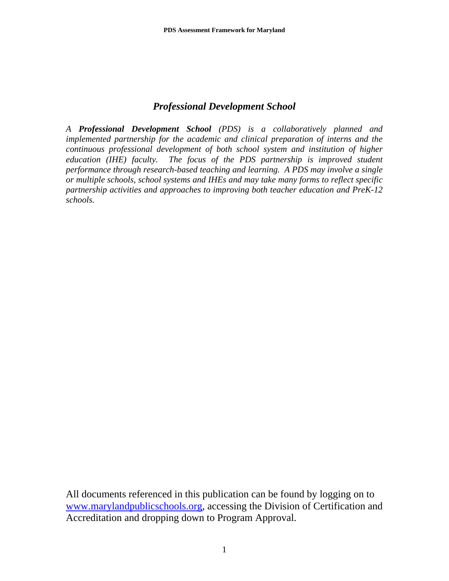# *Professional Development School*

*A Professional Development School (PDS) is a collaboratively planned and implemented partnership for the academic and clinical preparation of interns and the continuous professional development of both school system and institution of higher education (IHE) faculty. The focus of the PDS partnership is improved student performance through research-based teaching and learning. A PDS may involve a single or multiple schools, school systems and IHEs and may take many forms to reflect specific partnership activities and approaches to improving both teacher education and PreK-12 schools.* 

All documents referenced in this publication can be found by logging on to www.marylandpublicschools.org, accessing the Division of Certification and Accreditation and dropping down to Program Approval.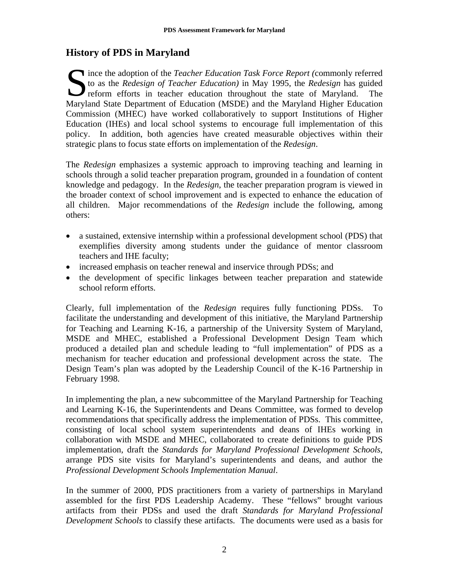# **History of PDS in Maryland**

ince the adoption of the *Teacher Education Task Force Report (commonly referred* to as the *Redesign of Teacher Education)* in May 1995, the *Redesign* has guided reform efforts in teacher education throughout the state o to as the *Redesign of Teacher Education)* in May 1995, the *Redesign* has guided reform efforts in teacher education throughout the state of Maryland. The Maryland State Department of Education (MSDE) and the Maryland Higher Education Commission (MHEC) have worked collaboratively to support Institutions of Higher Education (IHEs) and local school systems to encourage full implementation of this policy. In addition, both agencies have created measurable objectives within their strategic plans to focus state efforts on implementation of the *Redesign*.

The *Redesign* emphasizes a systemic approach to improving teaching and learning in schools through a solid teacher preparation program, grounded in a foundation of content knowledge and pedagogy. In the *Redesign*, the teacher preparation program is viewed in the broader context of school improvement and is expected to enhance the education of all children. Major recommendations of the *Redesign* include the following, among others:

- a sustained, extensive internship within a professional development school (PDS) that exemplifies diversity among students under the guidance of mentor classroom teachers and IHE faculty;
- increased emphasis on teacher renewal and inservice through PDSs; and
- the development of specific linkages between teacher preparation and statewide school reform efforts.

Clearly, full implementation of the *Redesign* requires fully functioning PDSs. To facilitate the understanding and development of this initiative, the Maryland Partnership for Teaching and Learning K-16, a partnership of the University System of Maryland, MSDE and MHEC, established a Professional Development Design Team which produced a detailed plan and schedule leading to "full implementation" of PDS as a mechanism for teacher education and professional development across the state. The Design Team's plan was adopted by the Leadership Council of the K-16 Partnership in February 1998.

In implementing the plan, a new subcommittee of the Maryland Partnership for Teaching and Learning K-16, the Superintendents and Deans Committee, was formed to develop recommendations that specifically address the implementation of PDSs. This committee, consisting of local school system superintendents and deans of IHEs working in collaboration with MSDE and MHEC, collaborated to create definitions to guide PDS implementation, draft the *Standards for Maryland Professional Development Schools*, arrange PDS site visits for Maryland's superintendents and deans, and author the *Professional Development Schools Implementation Manual*.

In the summer of 2000, PDS practitioners from a variety of partnerships in Maryland assembled for the first PDS Leadership Academy. These "fellows" brought various artifacts from their PDSs and used the draft *Standards for Maryland Professional Development Schools* to classify these artifacts. The documents were used as a basis for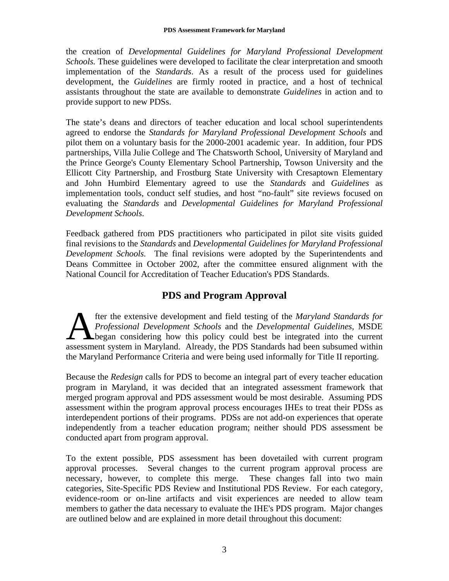the creation of *Developmental Guidelines for Maryland Professional Development Schools.* These guidelines were developed to facilitate the clear interpretation and smooth implementation of the *Standards*. As a result of the process used for guidelines development, the *Guidelines* are firmly rooted in practice, and a host of technical assistants throughout the state are available to demonstrate *Guidelines* in action and to provide support to new PDSs.

The state's deans and directors of teacher education and local school superintendents agreed to endorse the *Standards for Maryland Professional Development Schools* and pilot them on a voluntary basis for the 2000-2001 academic year. In addition, four PDS partnerships, Villa Julie College and The Chatsworth School, University of Maryland and the Prince George's County Elementary School Partnership, Towson University and the Ellicott City Partnership, and Frostburg State University with Cresaptown Elementary and John Humbird Elementary agreed to use the *Standards* and *Guidelines* as implementation tools, conduct self studies, and host "no-fault" site reviews focused on evaluating the *Standards* and *Developmental Guidelines for Maryland Professional Development Schools*.

Feedback gathered from PDS practitioners who participated in pilot site visits guided final revisions to the *Standards* and *Developmental Guidelines for Maryland Professional Development Schools.* The final revisions were adopted by the Superintendents and Deans Committee in October 2002, after the committee ensured alignment with the National Council for Accreditation of Teacher Education's PDS Standards.

# **PDS and Program Approval**

fter the extensive development and field testing of the *Maryland Standards for Professional Development Schools* and the *Developmental Guidelines*, MSDE began considering how this policy could best be integrated into the current assessment system in Maryland. Already, the PDS Standards had been subsumed within the Maryland Performance Criteria and were being used informally for Title II reporting. A

Because the *Redesign* calls for PDS to become an integral part of every teacher education program in Maryland, it was decided that an integrated assessment framework that merged program approval and PDS assessment would be most desirable. Assuming PDS assessment within the program approval process encourages IHEs to treat their PDSs as interdependent portions of their programs. PDSs are not add-on experiences that operate independently from a teacher education program; neither should PDS assessment be conducted apart from program approval.

To the extent possible, PDS assessment has been dovetailed with current program approval processes. Several changes to the current program approval process are necessary, however, to complete this merge. These changes fall into two main categories, Site-Specific PDS Review and Institutional PDS Review. For each category, evidence-room or on-line artifacts and visit experiences are needed to allow team members to gather the data necessary to evaluate the IHE's PDS program. Major changes are outlined below and are explained in more detail throughout this document: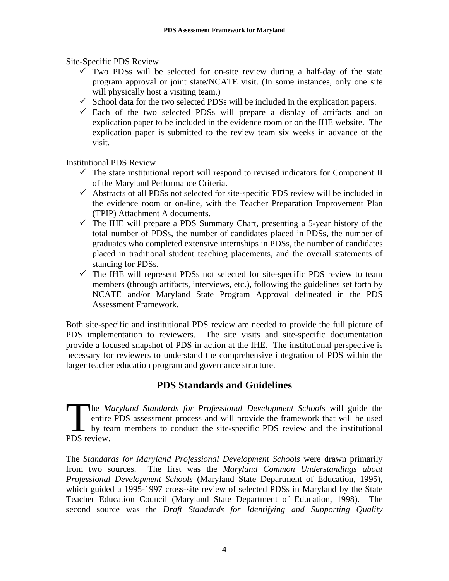Site-Specific PDS Review

- $\checkmark$  Two PDSs will be selected for on-site review during a half-day of the state program approval or joint state/NCATE visit. (In some instances, only one site will physically host a visiting team.)
- $\checkmark$  School data for the two selected PDSs will be included in the explication papers.
- $\checkmark$  Each of the two selected PDSs will prepare a display of artifacts and an explication paper to be included in the evidence room or on the IHE website. The explication paper is submitted to the review team six weeks in advance of the visit.

Institutional PDS Review

- $\checkmark$  The state institutional report will respond to revised indicators for Component II of the Maryland Performance Criteria.
- $\checkmark$  Abstracts of all PDSs not selected for site-specific PDS review will be included in the evidence room or on-line, with the Teacher Preparation Improvement Plan (TPIP) Attachment A documents.
- $\checkmark$  The IHE will prepare a PDS Summary Chart, presenting a 5-year history of the total number of PDSs, the number of candidates placed in PDSs, the number of graduates who completed extensive internships in PDSs, the number of candidates placed in traditional student teaching placements, and the overall statements of standing for PDSs.
- $\checkmark$  The IHE will represent PDSs not selected for site-specific PDS review to team members (through artifacts, interviews, etc.), following the guidelines set forth by NCATE and/or Maryland State Program Approval delineated in the PDS Assessment Framework.

Both site-specific and institutional PDS review are needed to provide the full picture of PDS implementation to reviewers. The site visits and site-specific documentation provide a focused snapshot of PDS in action at the IHE. The institutional perspective is necessary for reviewers to understand the comprehensive integration of PDS within the larger teacher education program and governance structure.

# **PDS Standards and Guidelines**

The *Maryland Standards for Professional Development Schools* will guide the entire PDS assessment process and will provide the framework that will be used by team members to conduct the site-specific PDS review and the in entire PDS assessment process and will provide the framework that will be used **L** by team members to conduct the site-specific PDS review and the institutional PDS review.

The *Standards for Maryland Professional Development Schools* were drawn primarily from two sources. The first was the *Maryland Common Understandings about Professional Development Schools* (Maryland State Department of Education, 1995), which guided a 1995-1997 cross-site review of selected PDSs in Maryland by the State Teacher Education Council (Maryland State Department of Education, 1998). The second source was the *Draft Standards for Identifying and Supporting Quality*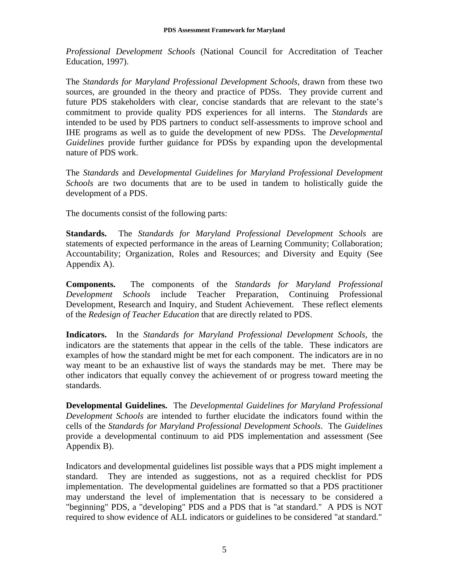*Professional Development Schools* (National Council for Accreditation of Teacher Education, 1997).

The *Standards for Maryland Professional Development Schools*, drawn from these two sources, are grounded in the theory and practice of PDSs. They provide current and future PDS stakeholders with clear, concise standards that are relevant to the state's commitment to provide quality PDS experiences for all interns. The *Standards* are intended to be used by PDS partners to conduct self-assessments to improve school and IHE programs as well as to guide the development of new PDSs. The *Developmental Guidelines* provide further guidance for PDSs by expanding upon the developmental nature of PDS work.

The *Standards* and *Developmental Guidelines for Maryland Professional Development Schools* are two documents that are to be used in tandem to holistically guide the development of a PDS.

The documents consist of the following parts:

**Standards.** The *Standards for Maryland Professional Development Schools* are statements of expected performance in the areas of Learning Community; Collaboration; Accountability; Organization, Roles and Resources; and Diversity and Equity (See Appendix A).

**Components.** The components of the *Standards for Maryland Professional Development Schools* include Teacher Preparation, Continuing Professional Development, Research and Inquiry, and Student Achievement. These reflect elements of the *Redesign of Teacher Education* that are directly related to PDS.

**Indicators.** In the *Standards for Maryland Professional Development Schools*, the indicators are the statements that appear in the cells of the table. These indicators are examples of how the standard might be met for each component. The indicators are in no way meant to be an exhaustive list of ways the standards may be met. There may be other indicators that equally convey the achievement of or progress toward meeting the standards.

**Developmental Guidelines.** The *Developmental Guidelines for Maryland Professional Development Schools* are intended to further elucidate the indicators found within the cells of the *Standards for Maryland Professional Development Schools*. The *Guidelines*  provide a developmental continuum to aid PDS implementation and assessment (See Appendix B).

Indicators and developmental guidelines list possible ways that a PDS might implement a standard. They are intended as suggestions, not as a required checklist for PDS implementation. The developmental guidelines are formatted so that a PDS practitioner may understand the level of implementation that is necessary to be considered a "beginning" PDS, a "developing" PDS and a PDS that is "at standard." A PDS is NOT required to show evidence of ALL indicators or guidelines to be considered "at standard."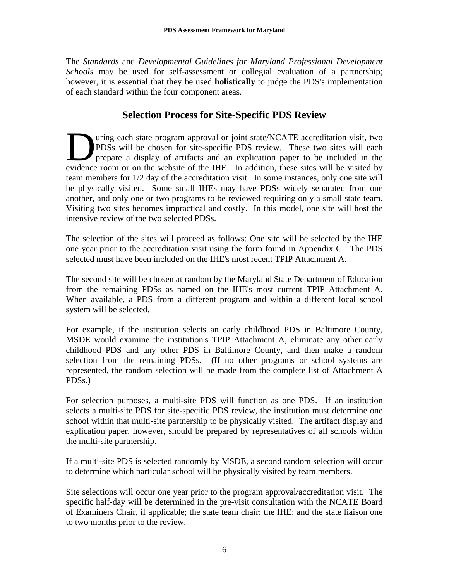The *Standards* and *Developmental Guidelines for Maryland Professional Development Schools* may be used for self-assessment or collegial evaluation of a partnership; however, it is essential that they be used **holistically** to judge the PDS's implementation of each standard within the four component areas.

# **Selection Process for Site-Specific PDS Review**

uring each state program approval or joint state/NCATE accreditation visit, two PDSs will be chosen for site-specific PDS review. These two sites will each prepare a display of artifacts and an explication paper to be included in the The property of artifacts and an explication. These two sites will each prepare a display of artifacts and an explication paper to be included in the evidence room or on the website of the IHE. In addition, these sites wil team members for 1/2 day of the accreditation visit. In some instances, only one site will be physically visited. Some small IHEs may have PDSs widely separated from one another, and only one or two programs to be reviewed requiring only a small state team. Visiting two sites becomes impractical and costly. In this model, one site will host the intensive review of the two selected PDSs.

The selection of the sites will proceed as follows: One site will be selected by the IHE one year prior to the accreditation visit using the form found in Appendix C. The PDS selected must have been included on the IHE's most recent TPIP Attachment A.

The second site will be chosen at random by the Maryland State Department of Education from the remaining PDSs as named on the IHE's most current TPIP Attachment A. When available, a PDS from a different program and within a different local school system will be selected.

For example, if the institution selects an early childhood PDS in Baltimore County, MSDE would examine the institution's TPIP Attachment A, eliminate any other early childhood PDS and any other PDS in Baltimore County, and then make a random selection from the remaining PDSs. (If no other programs or school systems are represented, the random selection will be made from the complete list of Attachment A PDSs.)

For selection purposes, a multi-site PDS will function as one PDS. If an institution selects a multi-site PDS for site-specific PDS review, the institution must determine one school within that multi-site partnership to be physically visited. The artifact display and explication paper, however, should be prepared by representatives of all schools within the multi-site partnership.

If a multi-site PDS is selected randomly by MSDE, a second random selection will occur to determine which particular school will be physically visited by team members.

Site selections will occur one year prior to the program approval/accreditation visit. The specific half-day will be determined in the pre-visit consultation with the NCATE Board of Examiners Chair, if applicable; the state team chair; the IHE; and the state liaison one to two months prior to the review.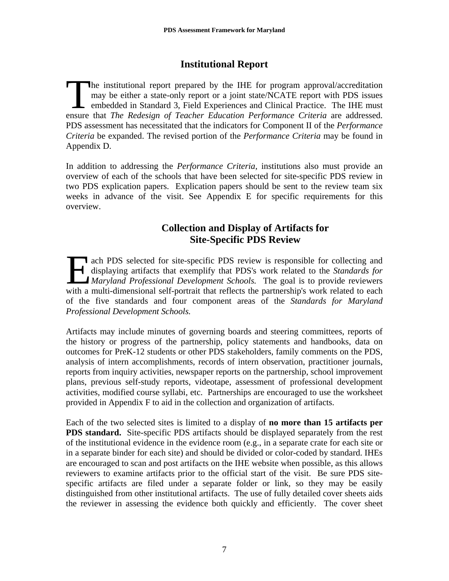# **Institutional Report**

he institutional report prepared by the IHE for program approval/accreditation may be either a state-only report or a joint state/NCATE report with PDS issues embedded in Standard 3, Field Experiences and Clinical Practice. The IHE must ensure that *The Redesign of Teacher Education Performance Criteria* are addressed. PDS assessment has necessitated that the indicators for Component II of the *Performance Criteria* be expanded. The revised portion of the *Performance Criteria* may be found in Appendix D. The manufacture

In addition to addressing the *Performance Criteria*, institutions also must provide an overview of each of the schools that have been selected for site-specific PDS review in two PDS explication papers. Explication papers should be sent to the review team six weeks in advance of the visit. See Appendix E for specific requirements for this overview.

# **Collection and Display of Artifacts for Site-Specific PDS Review**

ach PDS selected for site-specific PDS review is responsible for collecting and displaying artifacts that exemplify that PDS's work related to the *Standards for <u>Maryland Professional Development Schools.</u> The goal is to provide reviewers* with a multi-dimensional self-portrait that reflects the partnership's work related to each of the five standards and four component areas of the *Standards for Maryland Professional Development Schools.*   $\prod_{\substack{\text{dis}\\ \text{with a mu}}}\n\begin{bmatrix}\n\text{ack} \\
\text{dis}\n\end{bmatrix}$ 

Artifacts may include minutes of governing boards and steering committees, reports of the history or progress of the partnership, policy statements and handbooks, data on outcomes for PreK-12 students or other PDS stakeholders, family comments on the PDS, analysis of intern accomplishments, records of intern observation, practitioner journals, reports from inquiry activities, newspaper reports on the partnership, school improvement plans, previous self-study reports, videotape, assessment of professional development activities, modified course syllabi, etc. Partnerships are encouraged to use the worksheet provided in Appendix F to aid in the collection and organization of artifacts.

Each of the two selected sites is limited to a display of **no more than 15 artifacts per PDS standard.** Site-specific PDS artifacts should be displayed separately from the rest of the institutional evidence in the evidence room (e.g., in a separate crate for each site or in a separate binder for each site) and should be divided or color-coded by standard. IHEs are encouraged to scan and post artifacts on the IHE website when possible, as this allows reviewers to examine artifacts prior to the official start of the visit. Be sure PDS sitespecific artifacts are filed under a separate folder or link, so they may be easily distinguished from other institutional artifacts. The use of fully detailed cover sheets aids the reviewer in assessing the evidence both quickly and efficiently. The cover sheet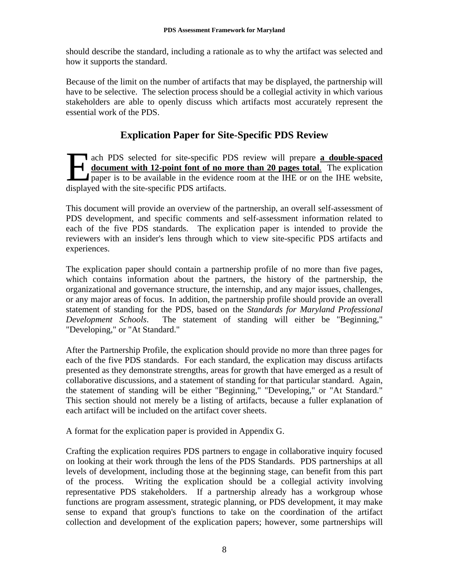should describe the standard, including a rationale as to why the artifact was selected and how it supports the standard.

Because of the limit on the number of artifacts that may be displayed, the partnership will have to be selective. The selection process should be a collegial activity in which various stakeholders are able to openly discuss which artifacts most accurately represent the essential work of the PDS.

# **Explication Paper for Site-Specific PDS Review**

ach PDS selected for site-specific PDS review will prepare **a double-spaced document with 12-point font of no more than 20 pages total**. The explication **Providence** is to be available in the evidence room at the IHE or on the IHE website, ach PDS selected for site-specific P<br> **document with 12-point font of no n**<br>
paper is to be available in the evidence<br>
displayed with the site-specific PDS artifacts.

This document will provide an overview of the partnership, an overall self-assessment of PDS development, and specific comments and self-assessment information related to each of the five PDS standards. The explication paper is intended to provide the reviewers with an insider's lens through which to view site-specific PDS artifacts and experiences.

The explication paper should contain a partnership profile of no more than five pages, which contains information about the partners, the history of the partnership, the organizational and governance structure, the internship, and any major issues, challenges, or any major areas of focus. In addition, the partnership profile should provide an overall statement of standing for the PDS, based on the *Standards for Maryland Professional Development Schools*. The statement of standing will either be "Beginning," "Developing," or "At Standard."

After the Partnership Profile, the explication should provide no more than three pages for each of the five PDS standards. For each standard, the explication may discuss artifacts presented as they demonstrate strengths, areas for growth that have emerged as a result of collaborative discussions, and a statement of standing for that particular standard. Again, the statement of standing will be either "Beginning," "Developing," or "At Standard." This section should not merely be a listing of artifacts, because a fuller explanation of each artifact will be included on the artifact cover sheets.

A format for the explication paper is provided in Appendix G.

Crafting the explication requires PDS partners to engage in collaborative inquiry focused on looking at their work through the lens of the PDS Standards. PDS partnerships at all levels of development, including those at the beginning stage, can benefit from this part of the process. Writing the explication should be a collegial activity involving representative PDS stakeholders. If a partnership already has a workgroup whose functions are program assessment, strategic planning, or PDS development, it may make sense to expand that group's functions to take on the coordination of the artifact collection and development of the explication papers; however, some partnerships will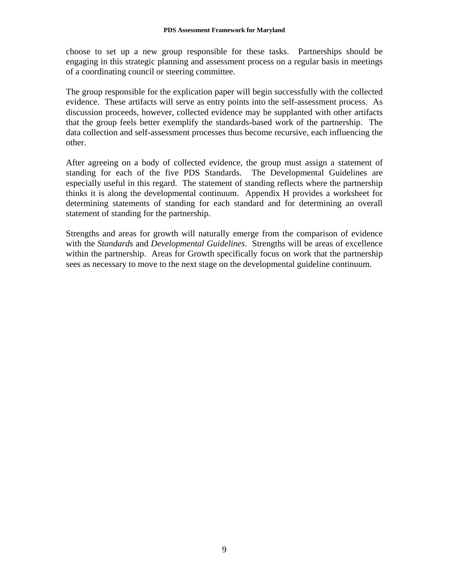choose to set up a new group responsible for these tasks. Partnerships should be engaging in this strategic planning and assessment process on a regular basis in meetings of a coordinating council or steering committee.

The group responsible for the explication paper will begin successfully with the collected evidence. These artifacts will serve as entry points into the self-assessment process. As discussion proceeds, however, collected evidence may be supplanted with other artifacts that the group feels better exemplify the standards-based work of the partnership. The data collection and self-assessment processes thus become recursive, each influencing the other.

After agreeing on a body of collected evidence, the group must assign a statement of standing for each of the five PDS Standards. The Developmental Guidelines are especially useful in this regard. The statement of standing reflects where the partnership thinks it is along the developmental continuum. Appendix H provides a worksheet for determining statements of standing for each standard and for determining an overall statement of standing for the partnership.

Strengths and areas for growth will naturally emerge from the comparison of evidence with the *Standards* and *Developmental Guidelines*. Strengths will be areas of excellence within the partnership. Areas for Growth specifically focus on work that the partnership sees as necessary to move to the next stage on the developmental guideline continuum.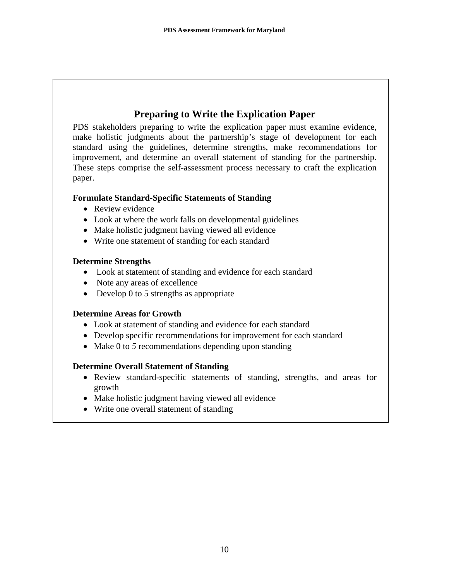# **Preparing to Write the Explication Paper**

PDS stakeholders preparing to write the explication paper must examine evidence, make holistic judgments about the partnership's stage of development for each standard using the guidelines, determine strengths, make recommendations for improvement, and determine an overall statement of standing for the partnership. These steps comprise the self-assessment process necessary to craft the explication paper.

### **Formulate Standard-Specific Statements of Standing**

- Review evidence
- Look at where the work falls on developmental guidelines
- Make holistic judgment having viewed all evidence
- Write one statement of standing for each standard

### **Determine Strengths**

- Look at statement of standing and evidence for each standard
- Note any areas of excellence
- Develop 0 to 5 strengths as appropriate

### **Determine Areas for Growth**

- Look at statement of standing and evidence for each standard
- Develop specific recommendations for improvement for each standard
- Make 0 to 5 recommendations depending upon standing

### **Determine Overall Statement of Standing**

- Review standard-specific statements of standing, strengths, and areas for growth
- Make holistic judgment having viewed all evidence
- Write one overall statement of standing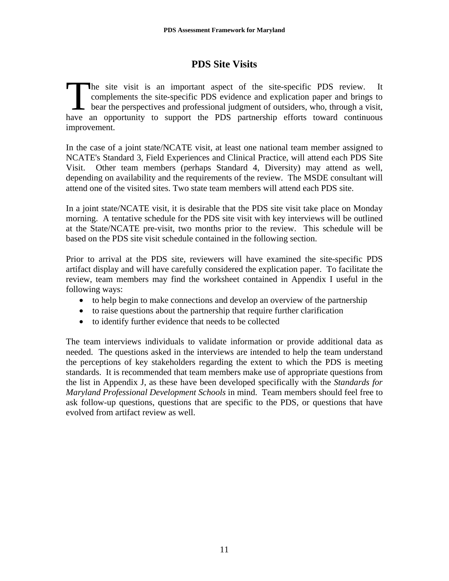# **PDS Site Visits**

he site visit is an important aspect of the site-specific PDS review. It complements the site-specific PDS evidence and explication paper and brings to bear the perspectives and professional judgment of outsiders, who, through a visit, have an opportunity to support the PDS partnership efforts toward continuous improvement. The correct bear

In the case of a joint state/NCATE visit, at least one national team member assigned to NCATE's Standard 3, Field Experiences and Clinical Practice, will attend each PDS Site Visit. Other team members (perhaps Standard 4, Diversity) may attend as well, depending on availability and the requirements of the review. The MSDE consultant will attend one of the visited sites. Two state team members will attend each PDS site.

In a joint state/NCATE visit, it is desirable that the PDS site visit take place on Monday morning. A tentative schedule for the PDS site visit with key interviews will be outlined at the State/NCATE pre-visit, two months prior to the review. This schedule will be based on the PDS site visit schedule contained in the following section.

Prior to arrival at the PDS site, reviewers will have examined the site-specific PDS artifact display and will have carefully considered the explication paper. To facilitate the review, team members may find the worksheet contained in Appendix I useful in the following ways:

- to help begin to make connections and develop an overview of the partnership
- to raise questions about the partnership that require further clarification
- to identify further evidence that needs to be collected

The team interviews individuals to validate information or provide additional data as needed. The questions asked in the interviews are intended to help the team understand the perceptions of key stakeholders regarding the extent to which the PDS is meeting standards. It is recommended that team members make use of appropriate questions from the list in Appendix J, as these have been developed specifically with the *Standards for Maryland Professional Development Schools* in mind. Team members should feel free to ask follow-up questions, questions that are specific to the PDS, or questions that have evolved from artifact review as well.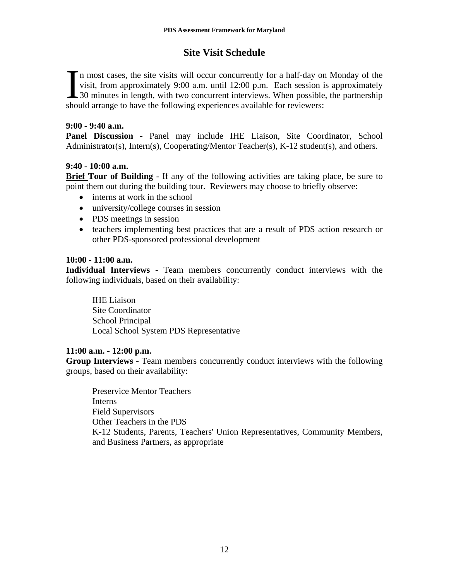# **Site Visit Schedule**

In most cases, the site visits will occur concurrently for a half-day on Monday of the visit, from approximately 9:00 a.m. until 12:00 p.m. Each session is approximately 30 minutes in length, with two concurrent interviews visit, from approximately 9:00 a.m. until 12:00 p.m. Each session is approximately 130 minutes in length, with two concurrent interviews. When possible, the partnership should arrange to have the following experiences available for reviewers:

### **9:00 - 9:40 a.m.**

**Panel Discussion** - Panel may include IHE Liaison, Site Coordinator, School Administrator(s), Intern(s), Cooperating/Mentor Teacher(s), K-12 student(s), and others.

### **9:40 - 10:00 a.m.**

**Brief Tour of Building** - If any of the following activities are taking place, be sure to point them out during the building tour. Reviewers may choose to briefly observe:

- interns at work in the school
- university/college courses in session
- PDS meetings in session
- teachers implementing best practices that are a result of PDS action research or other PDS-sponsored professional development

### **10:00 - 11:00 a.m.**

**Individual Interviews -** Team members concurrently conduct interviews with the following individuals, based on their availability:

 IHE Liaison Site Coordinator School Principal Local School System PDS Representative

### **11:00 a.m. - 12:00 p.m.**

**Group Interviews** - Team members concurrently conduct interviews with the following groups, based on their availability:

Preservice Mentor Teachers Interns Field Supervisors Other Teachers in the PDS K-12 Students, Parents, Teachers' Union Representatives, Community Members, and Business Partners, as appropriate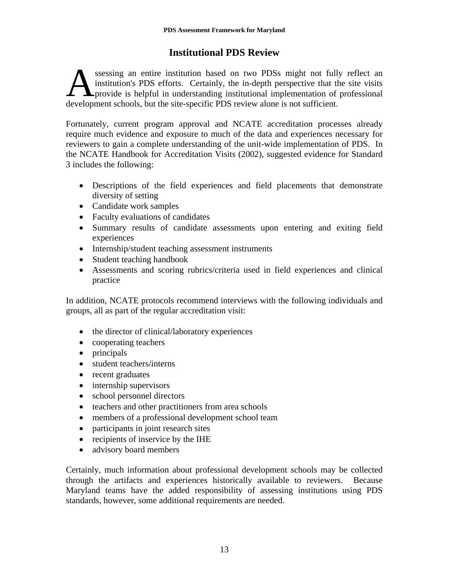# **Institutional PDS Review**

ssessing an entire institution based on two PDSs might not fully reflect an institution's PDS efforts. Certainly, the in-depth perspective that the site visits provide is helpful in understanding institutional implementation of professional ssessing an entire institution based on two PDSs might not fully institution's PDS efforts. Certainly, the in-depth perspective that the provide is helpful in understanding institutional implementation of development schoo

Fortunately, current program approval and NCATE accreditation processes already require much evidence and exposure to much of the data and experiences necessary for reviewers to gain a complete understanding of the unit-wide implementation of PDS. In the NCATE Handbook for Accreditation Visits (2002), suggested evidence for Standard 3 includes the following:

- Descriptions of the field experiences and field placements that demonstrate diversity of setting
- Candidate work samples
- Faculty evaluations of candidates
- Summary results of candidate assessments upon entering and exiting field experiences
- Internship/student teaching assessment instruments
- Student teaching handbook
- Assessments and scoring rubrics/criteria used in field experiences and clinical practice

In addition, NCATE protocols recommend interviews with the following individuals and groups, all as part of the regular accreditation visit:

- the director of clinical/laboratory experiences
- cooperating teachers
- principals
- student teachers/interns
- recent graduates
- internship supervisors
- school personnel directors
- teachers and other practitioners from area schools
- members of a professional development school team
- participants in joint research sites
- recipients of inservice by the IHE
- advisory board members

Certainly, much information about professional development schools may be collected through the artifacts and experiences historically available to reviewers. Because Maryland teams have the added responsibility of assessing institutions using PDS standards, however, some additional requirements are needed.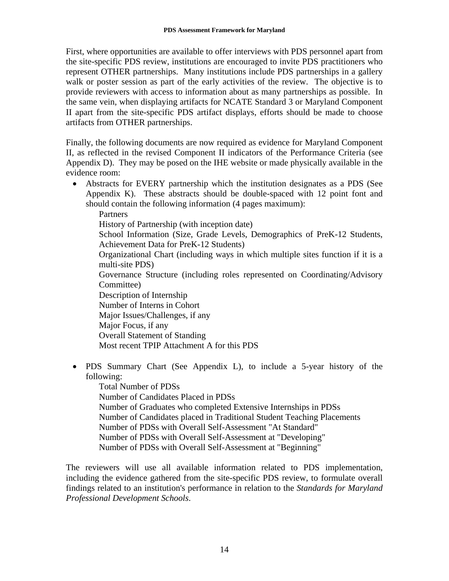First, where opportunities are available to offer interviews with PDS personnel apart from the site-specific PDS review, institutions are encouraged to invite PDS practitioners who represent OTHER partnerships. Many institutions include PDS partnerships in a gallery walk or poster session as part of the early activities of the review. The objective is to provide reviewers with access to information about as many partnerships as possible. In the same vein, when displaying artifacts for NCATE Standard 3 or Maryland Component II apart from the site-specific PDS artifact displays, efforts should be made to choose artifacts from OTHER partnerships.

Finally, the following documents are now required as evidence for Maryland Component II, as reflected in the revised Component II indicators of the Performance Criteria (see Appendix D). They may be posed on the IHE website or made physically available in the evidence room:

- Abstracts for EVERY partnership which the institution designates as a PDS (See Appendix K). These abstracts should be double-spaced with 12 point font and should contain the following information (4 pages maximum): Partners History of Partnership (with inception date) School Information (Size, Grade Levels, Demographics of PreK-12 Students, Achievement Data for PreK-12 Students) Organizational Chart (including ways in which multiple sites function if it is a multi-site PDS) Governance Structure (including roles represented on Coordinating/Advisory Committee) Description of Internship Number of Interns in Cohort Major Issues/Challenges, if any Major Focus, if any Overall Statement of Standing Most recent TPIP Attachment A for this PDS
- PDS Summary Chart (See Appendix L), to include a 5-year history of the following:

Total Number of PDSs Number of Candidates Placed in PDSs Number of Graduates who completed Extensive Internships in PDSs Number of Candidates placed in Traditional Student Teaching Placements Number of PDSs with Overall Self-Assessment "At Standard" Number of PDSs with Overall Self-Assessment at "Developing" Number of PDSs with Overall Self-Assessment at "Beginning"

The reviewers will use all available information related to PDS implementation, including the evidence gathered from the site-specific PDS review, to formulate overall findings related to an institution's performance in relation to the *Standards for Maryland Professional Development Schools*.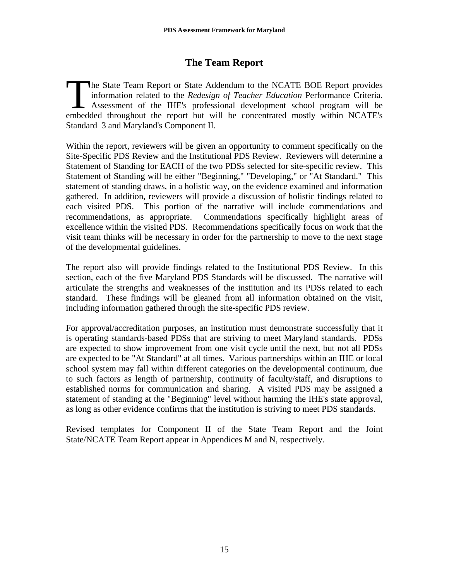# **The Team Report**

he State Team Report or State Addendum to the NCATE BOE Report provides information related to the *Redesign of Teacher Education* Performance Criteria. Assessment of the IHE's professional development school program will be embedded throughout the report but will be concentrated mostly within NCATE's Standard 3 and Maryland's Component II. The<br>inf

Within the report, reviewers will be given an opportunity to comment specifically on the Site-Specific PDS Review and the Institutional PDS Review. Reviewers will determine a Statement of Standing for EACH of the two PDSs selected for site-specific review. This Statement of Standing will be either "Beginning," "Developing," or "At Standard." This statement of standing draws, in a holistic way, on the evidence examined and information gathered. In addition, reviewers will provide a discussion of holistic findings related to each visited PDS. This portion of the narrative will include commendations and recommendations, as appropriate. Commendations specifically highlight areas of excellence within the visited PDS. Recommendations specifically focus on work that the visit team thinks will be necessary in order for the partnership to move to the next stage of the developmental guidelines.

The report also will provide findings related to the Institutional PDS Review. In this section, each of the five Maryland PDS Standards will be discussed. The narrative will articulate the strengths and weaknesses of the institution and its PDSs related to each standard. These findings will be gleaned from all information obtained on the visit, including information gathered through the site-specific PDS review.

For approval/accreditation purposes, an institution must demonstrate successfully that it is operating standards-based PDSs that are striving to meet Maryland standards. PDSs are expected to show improvement from one visit cycle until the next, but not all PDSs are expected to be "At Standard" at all times. Various partnerships within an IHE or local school system may fall within different categories on the developmental continuum, due to such factors as length of partnership, continuity of faculty/staff, and disruptions to established norms for communication and sharing. A visited PDS may be assigned a statement of standing at the "Beginning" level without harming the IHE's state approval, as long as other evidence confirms that the institution is striving to meet PDS standards.

Revised templates for Component II of the State Team Report and the Joint State/NCATE Team Report appear in Appendices M and N, respectively.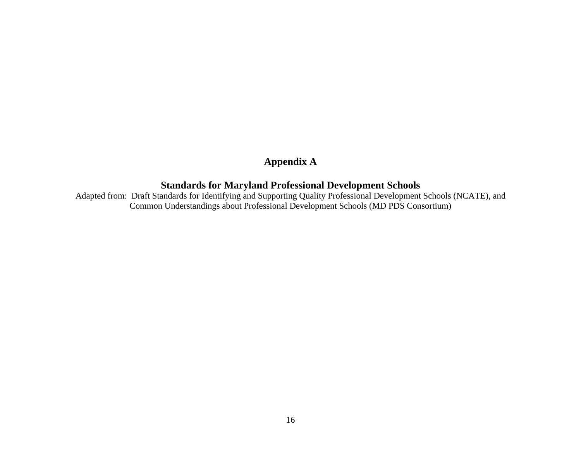# **Appendix A**

# **Standards for Maryland Professional Development Schools**

Adapted from: Draft Standards for Identifying and Supporting Quality Professional Development Schools (NCATE), and Common Understandings about Professional Development Schools (MD PDS Consortium)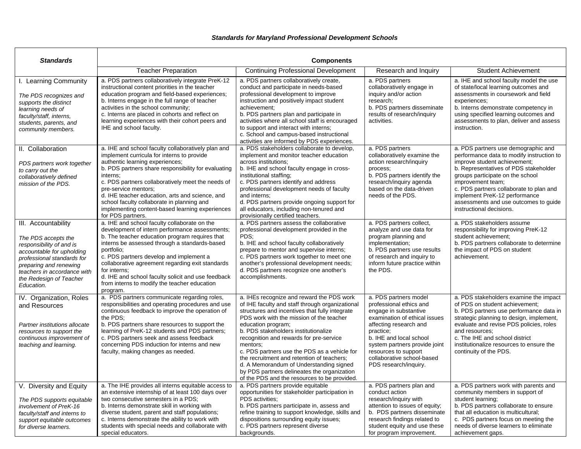### *Standards for Maryland Professional Development Schools*

| <b>Standards</b>                                                                                                                                                                                                                    |                                                                                                                                                                                                                                                                                                                                                                                                                                                              | <b>Components</b>                                                                                                                                                                                                                                                                                                                                                                                                                                                                                                                                       |                                                                                                                                                                                                                                                                                              |                                                                                                                                                                                                                                                                                                                                                                     |
|-------------------------------------------------------------------------------------------------------------------------------------------------------------------------------------------------------------------------------------|--------------------------------------------------------------------------------------------------------------------------------------------------------------------------------------------------------------------------------------------------------------------------------------------------------------------------------------------------------------------------------------------------------------------------------------------------------------|---------------------------------------------------------------------------------------------------------------------------------------------------------------------------------------------------------------------------------------------------------------------------------------------------------------------------------------------------------------------------------------------------------------------------------------------------------------------------------------------------------------------------------------------------------|----------------------------------------------------------------------------------------------------------------------------------------------------------------------------------------------------------------------------------------------------------------------------------------------|---------------------------------------------------------------------------------------------------------------------------------------------------------------------------------------------------------------------------------------------------------------------------------------------------------------------------------------------------------------------|
|                                                                                                                                                                                                                                     | <b>Teacher Preparation</b>                                                                                                                                                                                                                                                                                                                                                                                                                                   | <b>Continuing Professional Development</b>                                                                                                                                                                                                                                                                                                                                                                                                                                                                                                              | Research and Inquiry                                                                                                                                                                                                                                                                         | <b>Student Achievement</b>                                                                                                                                                                                                                                                                                                                                          |
| I. Learning Community<br>The PDS recognizes and<br>supports the distinct<br>learning needs of<br>faculty/staff, interns,<br>students, parents, and<br>community members.                                                            | a. PDS partners collaboratively integrate PreK-12<br>instructional content priorities in the teacher<br>education program and field-based experiences;<br>b. Interns engage in the full range of teacher<br>activities in the school community;<br>c. Interns are placed in cohorts and reflect on<br>learning experiences with their cohort peers and<br>IHE and school faculty.                                                                            | a. PDS partners collaboratively create,<br>conduct and participate in needs-based<br>professional development to improve<br>instruction and positively impact student<br>achievement:<br>b. PDS partners plan and participate in<br>activities where all school staff is encouraged<br>to support and interact with interns;<br>c. School and campus-based instructional<br>activities are informed by PDS experiences.                                                                                                                                 | a. PDS partners<br>collaboratively engage in<br>inquiry and/or action<br>research;<br>b. PDS partners disseminate<br>results of research/inquiry<br>activities.                                                                                                                              | a. IHE and school faculty model the use<br>of state/local learning outcomes and<br>assessments in coursework and field<br>experiences;<br>b. Interns demonstrate competency in<br>using specified learning outcomes and<br>assessments to plan, deliver and assess<br>instruction.                                                                                  |
| II. Collaboration<br>PDS partners work together<br>to carry out the<br>collaboratively defined<br>mission of the PDS.                                                                                                               | a. IHE and school faculty collaboratively plan and<br>implement curricula for interns to provide<br>authentic learning experiences;<br>b. PDS partners share responsibility for evaluating<br>interns:<br>c. PDS partners collaboratively meet the needs of<br>pre-service mentors;<br>d. IHE teacher education, arts and science, and<br>school faculty collaborate in planning and<br>implementing content-based learning experiences<br>for PDS partners. | a. PDS stakeholders collaborate to develop,<br>implement and monitor teacher education<br>across institutions;<br>b. IHE and school faculty engage in cross-<br>institutional staffing;<br>c. PDS partners identify and address<br>professional development needs of faculty<br>and interns;<br>d. PDS partners provide ongoing support for<br>all educators, including non-tenured and<br>provisionally certified teachers.                                                                                                                            | a. PDS partners<br>collaboratively examine the<br>action research/inquiry<br>process;<br>b. PDS partners identify the<br>research/inquiry agenda<br>based on the data-driven<br>needs of the PDS.                                                                                            | a. PDS partners use demographic and<br>performance data to modify instruction to<br>improve student achievement;<br>b. Representatives of PDS stakeholder<br>groups participate on the school<br>improvement team;<br>c. PDS partners collaborate to plan and<br>implement PreK-12 performance<br>assessments and use outcomes to guide<br>instructional decisions. |
| III. Accountability<br>The PDS accepts the<br>responsibility of and is<br>accountable for upholding<br>professional standards for<br>preparing and renewing<br>teachers in accordance with<br>the Redesign of Teacher<br>Education. | a. IHE and school faculty collaborate on the<br>development of intern performance assessments;<br>b. The teacher education program requires that<br>interns be assessed through a standards-based<br>portfolio;<br>c. PDS partners develop and implement a<br>collaborative agreement regarding exit standards<br>for interns:<br>d. IHE and school faculty solicit and use feedback<br>from interns to modify the teacher education<br>program.             | a. PDS partners assess the collaborative<br>professional development provided in the<br>PDS:<br>b. IHE and school faculty collaboratively<br>prepare to mentor and supervise interns;<br>c. PDS partners work together to meet one<br>another's professional development needs;<br>d. PDS partners recognize one another's<br>accomplishments.                                                                                                                                                                                                          | a. PDS partners collect,<br>analyze and use data for<br>program planning and<br>implementation;<br>b. PDS partners use results<br>of research and inquiry to<br>inform future practice within<br>the PDS.                                                                                    | a. PDS stakeholders assume<br>responsibility for improving PreK-12<br>student achievement:<br>b. PDS partners collaborate to determine<br>the impact of PDS on student<br>achievement.                                                                                                                                                                              |
| IV. Organization, Roles<br>and Resources<br>Partner institutions allocate<br>resources to support the<br>continuous improvement of<br>teaching and learning.                                                                        | a. PDS partners communicate regarding roles,<br>responsibilities and operating procedures and use<br>continuous feedback to improve the operation of<br>the PDS;<br>b. PDS partners share resources to support the<br>learning of PreK-12 students and PDS partners;<br>c. PDS partners seek and assess feedback<br>concerning PDS induction for interns and new<br>faculty, making changes as needed.                                                       | a. IHEs recognize and reward the PDS work<br>of IHE faculty and staff through organizational<br>structures and incentives that fully integrate<br>PDS work with the mission of the teacher<br>education program;<br>b. PDS stakeholders institutionalize<br>recognition and rewards for pre-service<br>mentors;<br>c. PDS partners use the PDS as a vehicle for<br>the recruitment and retention of teachers;<br>d. A Memorandum of Understanding signed<br>by PDS partners delineates the organization<br>of the PDS and the resources to be provided. | a. PDS partners model<br>professional ethics and<br>engage in substantive<br>examination of ethical issues<br>affecting research and<br>practice;<br>b. IHE and local school<br>system partners provide joint<br>resources to support<br>collaborative school-based<br>PDS research/inquiry. | a. PDS stakeholders examine the impact<br>of PDS on student achievement;<br>b. PDS partners use performance data in<br>strategic planning to design, implement,<br>evaluate and revise PDS policies, roles<br>and resources:<br>c. The IHE and school district<br>institutionalize resources to ensure the<br>continuity of the PDS.                                |
| V. Diversity and Equity<br>The PDS supports equitable<br>involvement of PreK-16<br>faculty/staff and interns to<br>support equitable outcomes<br>for diverse learners.                                                              | a. The IHE provides all interns equitable access to<br>an extensive internship of at least 100 days over<br>two consecutive semesters in a PDS;<br>b. Interns demonstrate skill in working with<br>diverse student, parent and staff populations;<br>c. Interns demonstrate the ability to work with<br>students with special needs and collaborate with<br>special educators.                                                                               | a. PDS partners provide equitable<br>opportunities for stakeholder participation in<br>PDS activities:<br>b. PDS partners participate in, assess and<br>refine training to support knowledge, skills and<br>dispositions surrounding equity issues;<br>c. PDS partners represent diverse<br>backgrounds.                                                                                                                                                                                                                                                | a. PDS partners plan and<br>conduct action<br>research/inguiry with<br>attention to issues of equity;<br>b. PDS partners disseminate<br>research findings related to<br>student equity and use these<br>for program improvement.                                                             | a. PDS partners work with parents and<br>community members in support of<br>student learning;<br>b. PDS partners collaborate to ensure<br>that all education is multicultural;<br>c. PDS partners focus on meeting the<br>needs of diverse learners to eliminate<br>achievement gaps.                                                                               |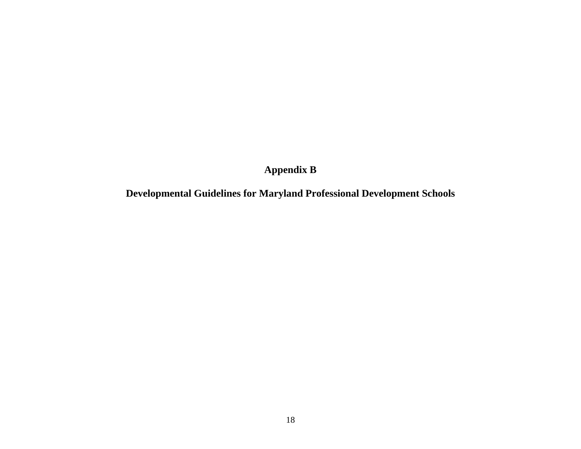# **Appendix B**

# **Developmental Guidelines for Maryland Professional Development Schools**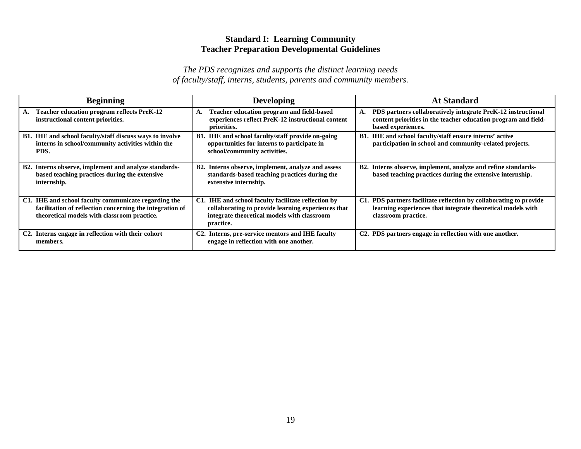### **Standard I: Learning Community Teacher Preparation Developmental Guidelines**

| <b>Beginning</b>                                                                                                                                                | <b>Developing</b>                                                                                                                                                     | <b>At Standard</b>                                                                                                                                         |
|-----------------------------------------------------------------------------------------------------------------------------------------------------------------|-----------------------------------------------------------------------------------------------------------------------------------------------------------------------|------------------------------------------------------------------------------------------------------------------------------------------------------------|
| <b>Teacher education program reflects PreK-12</b><br>А.<br>instructional content priorities.                                                                    | Teacher education program and field-based<br>A.<br>experiences reflect PreK-12 instructional content<br>priorities.                                                   | PDS partners collaboratively integrate PreK-12 instructional<br>А.<br>content priorities in the teacher education program and field-<br>based experiences. |
| <b>B1.</b> IHE and school faculty/staff discuss ways to involve<br>interns in school/community activities within the<br>PDS.                                    | <b>B1.</b> IHE and school faculty/staff provide on-going<br>opportunities for interns to participate in<br>school/community activities.                               | B1. IHE and school faculty/staff ensure interns' active<br>participation in school and community-related projects.                                         |
| B2. Interns observe, implement and analyze standards-<br>based teaching practices during the extensive<br>internship.                                           | B2. Interns observe, implement, analyze and assess<br>standards-based teaching practices during the<br>extensive internship.                                          | B2. Interns observe, implement, analyze and refine standards-<br>based teaching practices during the extensive internship.                                 |
| C1. IHE and school faculty communicate regarding the<br>facilitation of reflection concerning the integration of<br>theoretical models with classroom practice. | C1. IHE and school faculty facilitate reflection by<br>collaborating to provide learning experiences that<br>integrate theoretical models with classroom<br>practice. | C1. PDS partners facilitate reflection by collaborating to provide<br>learning experiences that integrate theoretical models with<br>classroom practice.   |
| C2. Interns engage in reflection with their cohort<br>members.                                                                                                  | C2. Interns, pre-service mentors and IHE faculty<br>engage in reflection with one another.                                                                            | C2. PDS partners engage in reflection with one another.                                                                                                    |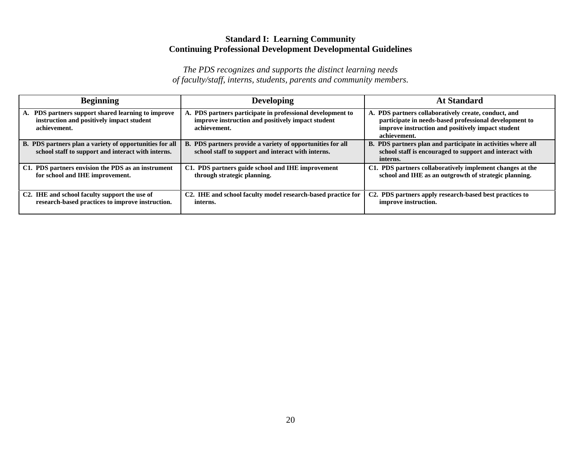# **Standard I: Learning Community Continuing Professional Development Developmental Guidelines**

| <b>Beginning</b>                                                                                                | <b>Developing</b>                                                                                                            | <b>At Standard</b>                                                                                                                                                                  |
|-----------------------------------------------------------------------------------------------------------------|------------------------------------------------------------------------------------------------------------------------------|-------------------------------------------------------------------------------------------------------------------------------------------------------------------------------------|
| A. PDS partners support shared learning to improve<br>instruction and positively impact student<br>achievement. | PDS partners participate in professional development to<br>improve instruction and positively impact student<br>achievement. | A. PDS partners collaboratively create, conduct, and<br>participate in needs-based professional development to<br>improve instruction and positively impact student<br>achievement. |
| B. PDS partners plan a variety of opportunities for all<br>school staff to support and interact with interns.   | B. PDS partners provide a variety of opportunities for all<br>school staff to support and interact with interns.             | B. PDS partners plan and participate in activities where all<br>school staff is encouraged to support and interact with<br>interns.                                                 |
| C1. PDS partners envision the PDS as an instrument<br>for school and IHE improvement.                           | C1. PDS partners guide school and IHE improvement<br>through strategic planning.                                             | C1. PDS partners collaboratively implement changes at the<br>school and IHE as an outgrowth of strategic planning.                                                                  |
| C <sub>2</sub> . IHE and school faculty support the use of<br>research-based practices to improve instruction.  | C2. IHE and school faculty model research-based practice for<br>interns.                                                     | C2. PDS partners apply research-based best practices to<br>improve instruction.                                                                                                     |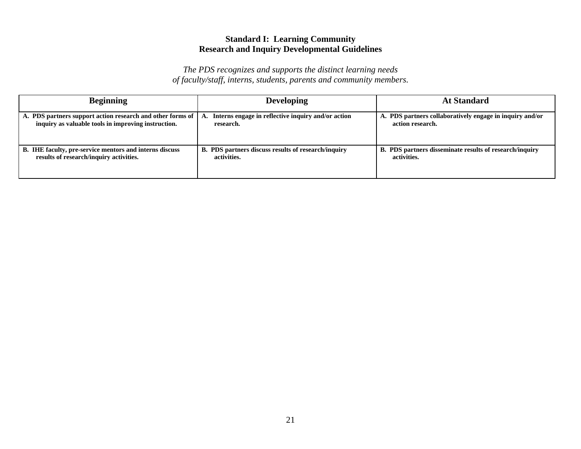# **Standard I: Learning Community Research and Inquiry Developmental Guidelines**

| <b>Beginning</b>                                                                                                  | <b>Developing</b>                                                     | <b>At Standard</b>                                                           |
|-------------------------------------------------------------------------------------------------------------------|-----------------------------------------------------------------------|------------------------------------------------------------------------------|
| A. PDS partners support action research and other forms of<br>inquiry as valuable tools in improving instruction. | Interns engage in reflective inquiry and/or action<br>A.<br>research. | A. PDS partners collaboratively engage in inquiry and/or<br>action research. |
| B. IHE faculty, pre-service mentors and interns discuss<br>results of research/inquiry activities.                | B. PDS partners discuss results of research/inquiry<br>activities.    | B. PDS partners disseminate results of research/inquiry<br>activities.       |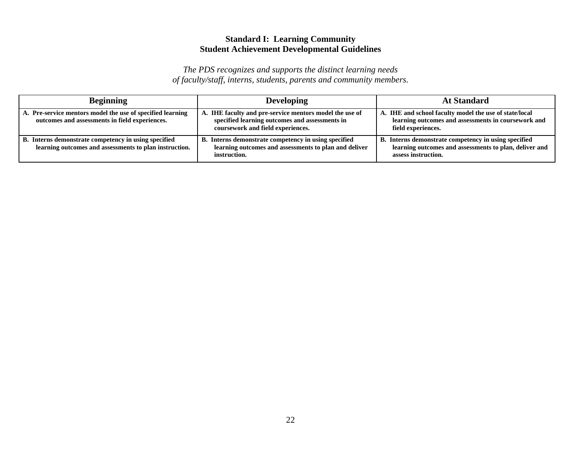# **Standard I: Learning Community Student Achievement Developmental Guidelines**

| <b>Beginning</b>                                                                                               | <b>Developing</b>                                                                                                                              | <b>At Standard</b>                                                                                                                    |
|----------------------------------------------------------------------------------------------------------------|------------------------------------------------------------------------------------------------------------------------------------------------|---------------------------------------------------------------------------------------------------------------------------------------|
| A. Pre-service mentors model the use of specified learning<br>outcomes and assessments in field experiences.   | A. IHE faculty and pre-service mentors model the use of<br>specified learning outcomes and assessments in<br>coursework and field experiences. | A. IHE and school faculty model the use of state/local<br>learning outcomes and assessments in coursework and<br>field experiences.   |
| B. Interns demonstrate competency in using specified<br>learning outcomes and assessments to plan instruction. | B. Interns demonstrate competency in using specified<br>learning outcomes and assessments to plan and deliver<br>instruction.                  | B. Interns demonstrate competency in using specified<br>learning outcomes and assessments to plan, deliver and<br>assess instruction. |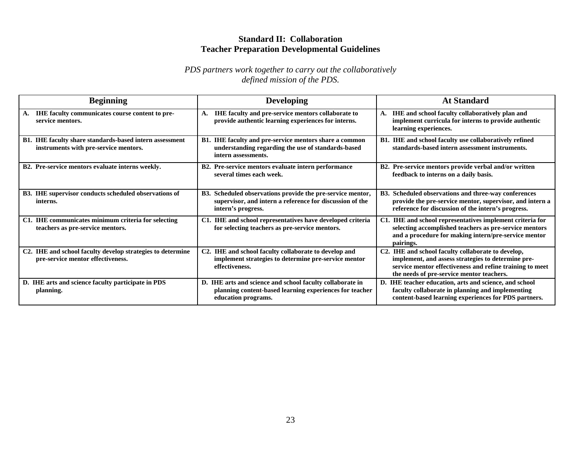### **Standard II: Collaboration Teacher Preparation Developmental Guidelines**

| <b>Beginning</b>                                                                                 | <b>Developing</b>                                                                                                                            | <b>At Standard</b>                                                                                                                                                                                                |
|--------------------------------------------------------------------------------------------------|----------------------------------------------------------------------------------------------------------------------------------------------|-------------------------------------------------------------------------------------------------------------------------------------------------------------------------------------------------------------------|
| IHE faculty communicates course content to pre-<br>А.<br>service mentors.                        | IHE faculty and pre-service mentors collaborate to<br>А.<br>provide authentic learning experiences for interns.                              | A. IHE and school faculty collaboratively plan and<br>implement curricula for interns to provide authentic<br>learning experiences.                                                                               |
| B1. IHE faculty share standards-based intern assessment<br>instruments with pre-service mentors. | B1. IHE faculty and pre-service mentors share a common<br>understanding regarding the use of standards-based<br>intern assessments.          | B1. IHE and school faculty use collaboratively refined<br>standards-based intern assessment instruments.                                                                                                          |
| B2. Pre-service mentors evaluate interns weekly.                                                 | B2. Pre-service mentors evaluate intern performance<br>several times each week.                                                              | B2. Pre-service mentors provide verbal and/or written<br>feedback to interns on a daily basis.                                                                                                                    |
| B3. IHE supervisor conducts scheduled observations of<br>interns.                                | B3. Scheduled observations provide the pre-service mentor,<br>supervisor, and intern a reference for discussion of the<br>intern's progress. | B3. Scheduled observations and three-way conferences<br>provide the pre-service mentor, supervisor, and intern a<br>reference for discussion of the intern's progress.                                            |
| C1. IHE communicates minimum criteria for selecting<br>teachers as pre-service mentors.          | C1. IHE and school representatives have developed criteria<br>for selecting teachers as pre-service mentors.                                 | C1. IHE and school representatives implement criteria for<br>selecting accomplished teachers as pre-service mentors<br>and a procedure for making intern/pre-service mentor<br>pairings.                          |
| C2. IHE and school faculty develop strategies to determine<br>pre-service mentor effectiveness.  | C2. IHE and school faculty collaborate to develop and<br>implement strategies to determine pre-service mentor<br>effectiveness.              | C2. IHE and school faculty collaborate to develop,<br>implement, and assess strategies to determine pre-<br>service mentor effectiveness and refine training to meet<br>the needs of pre-service mentor teachers. |
| D. IHE arts and science faculty participate in PDS<br>planning.                                  | D. IHE arts and science and school faculty collaborate in<br>planning content-based learning experiences for teacher<br>education programs.  | D. IHE teacher education, arts and science, and school<br>faculty collaborate in planning and implementing<br>content-based learning experiences for PDS partners.                                                |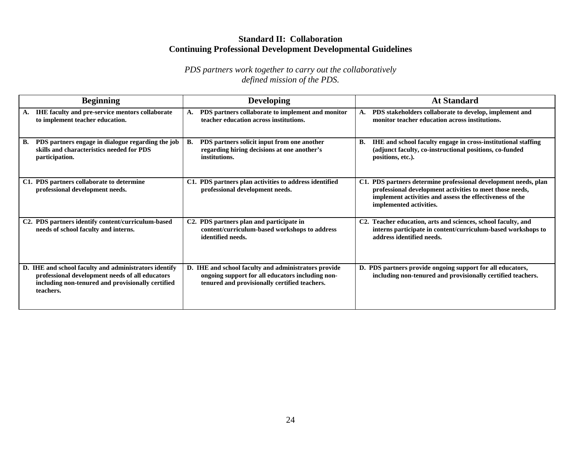### **Standard II: Collaboration Continuing Professional Development Developmental Guidelines**

| <b>Beginning</b>                                                                                                                                                           | <b>Developing</b>                                                                                                                                         | <b>At Standard</b>                                                                                                                                                                                                 |
|----------------------------------------------------------------------------------------------------------------------------------------------------------------------------|-----------------------------------------------------------------------------------------------------------------------------------------------------------|--------------------------------------------------------------------------------------------------------------------------------------------------------------------------------------------------------------------|
| <b>IHE faculty and pre-service mentors collaborate</b><br>A.<br>to implement teacher education.                                                                            | PDS partners collaborate to implement and monitor<br>A.<br>teacher education across institutions.                                                         | PDS stakeholders collaborate to develop, implement and<br><b>A.</b><br>monitor teacher education across institutions.                                                                                              |
| PDS partners engage in dialogue regarding the job<br>В.<br>skills and characteristics needed for PDS<br>participation.                                                     | PDS partners solicit input from one another<br>В.<br>regarding hiring decisions at one another's<br>institutions.                                         | <b>B.</b><br>IHE and school faculty engage in cross-institutional staffing<br>(adjunct faculty, co-instructional positions, co-funded<br>positions, etc.).                                                         |
| C1. PDS partners collaborate to determine<br>professional development needs.                                                                                               | C1. PDS partners plan activities to address identified<br>professional development needs.                                                                 | C1. PDS partners determine professional development needs, plan<br>professional development activities to meet those needs,<br>implement activities and assess the effectiveness of the<br>implemented activities. |
| C2. PDS partners identify content/curriculum-based<br>needs of school faculty and interns.                                                                                 | PDS partners plan and participate in<br>C <sub>2</sub> .<br>content/curriculum-based workshops to address<br>identified needs.                            | Teacher education, arts and sciences, school faculty, and<br>C2.<br>interns participate in content/curriculum-based workshops to<br>address identified needs.                                                      |
| D. IHE and school faculty and administrators identify<br>professional development needs of all educators<br>including non-tenured and provisionally certified<br>teachers. | D. IHE and school faculty and administrators provide<br>ongoing support for all educators including non-<br>tenured and provisionally certified teachers. | D. PDS partners provide ongoing support for all educators,<br>including non-tenured and provisionally certified teachers.                                                                                          |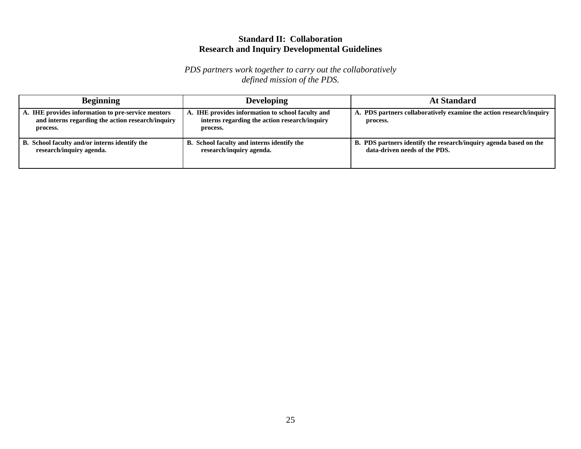### **Standard II: Collaboration Research and Inquiry Developmental Guidelines**

| <b>Beginning</b>                                                                                                    | <b>Developing</b>                                                                                              | <b>At Standard</b>                                                                                 |
|---------------------------------------------------------------------------------------------------------------------|----------------------------------------------------------------------------------------------------------------|----------------------------------------------------------------------------------------------------|
| A. IHE provides information to pre-service mentors<br>and interns regarding the action research/inquiry<br>process. | A. IHE provides information to school faculty and<br>interns regarding the action research/inquiry<br>process. | A. PDS partners collaboratively examine the action research/inquiry<br>process.                    |
| B. School faculty and/or interns identify the<br>research/inquiry agenda.                                           | B. School faculty and interns identify the<br>research/inquiry agenda.                                         | B. PDS partners identify the research/inquiry agenda based on the<br>data-driven needs of the PDS. |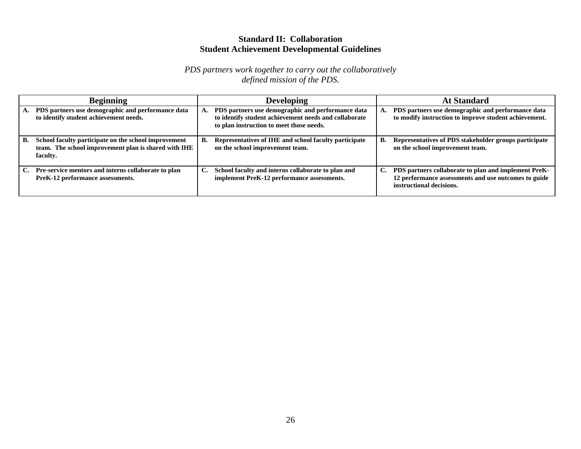### **Standard II: Collaboration Student Achievement Developmental Guidelines**

| <b>Beginning</b>                                                                                                               | <b>Developing</b>                                                                                                                                      | <b>At Standard</b>                                                                                                                             |
|--------------------------------------------------------------------------------------------------------------------------------|--------------------------------------------------------------------------------------------------------------------------------------------------------|------------------------------------------------------------------------------------------------------------------------------------------------|
| PDS partners use demographic and performance data<br>А.<br>to identify student achievement needs.                              | PDS partners use demographic and performance data<br>to identify student achievement needs and collaborate<br>to plan instruction to meet those needs. | PDS partners use demographic and performance data<br>to modify instruction to improve student achievement.                                     |
| School faculty participate on the school improvement<br>В.<br>team. The school improvement plan is shared with IHE<br>faculty. | Representatives of IHE and school faculty participate<br>В.<br>on the school improvement team.                                                         | Representatives of PDS stakeholder groups participate<br>В.<br>on the school improvement team.                                                 |
| Pre-service mentors and interns collaborate to plan<br>PreK-12 performance assessments.                                        | $\mathbf{C}$ .<br>School faculty and interns collaborate to plan and<br>implement PreK-12 performance assessments.                                     | PDS partners collaborate to plan and implement PreK-<br>C.<br>12 performance assessments and use outcomes to guide<br>instructional decisions. |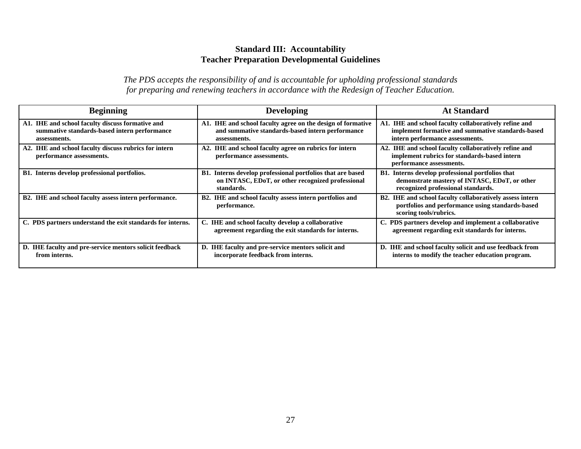### **Standard III: Accountability Teacher Preparation Developmental Guidelines**

| <b>Beginning</b>                                                                                                 | <b>Developing</b>                                                                                                               | <b>At Standard</b>                                                                                                                            |
|------------------------------------------------------------------------------------------------------------------|---------------------------------------------------------------------------------------------------------------------------------|-----------------------------------------------------------------------------------------------------------------------------------------------|
| A1. IHE and school faculty discuss formative and<br>summative standards-based intern performance<br>assessments. | A1. IHE and school faculty agree on the design of formative<br>and summative standards-based intern performance<br>assessments. | A1. IHE and school faculty collaboratively refine and<br>implement formative and summative standards-based<br>intern performance assessments. |
| A2. IHE and school faculty discuss rubrics for intern<br>performance assessments.                                | A2. IHE and school faculty agree on rubrics for intern<br>performance assessments.                                              | A2. IHE and school faculty collaboratively refine and<br>implement rubrics for standards-based intern<br>performance assessments.             |
| B1. Interns develop professional portfolios.                                                                     | B1. Interns develop professional portfolios that are based<br>on INTASC, EDoT, or other recognized professional<br>standards.   | B1. Interns develop professional portfolios that<br>demonstrate mastery of INTASC, EDoT, or other<br>recognized professional standards.       |
| B2. IHE and school faculty assess intern performance.                                                            | B2. IHE and school faculty assess intern portfolios and<br>performance.                                                         | B2. IHE and school faculty collaboratively assess intern<br>portfolios and performance using standards-based<br>scoring tools/rubrics.        |
| C. PDS partners understand the exit standards for interns.                                                       | C. IHE and school faculty develop a collaborative<br>agreement regarding the exit standards for interns.                        | C. PDS partners develop and implement a collaborative<br>agreement regarding exit standards for interns.                                      |
| D. IHE faculty and pre-service mentors solicit feedback<br>from interns.                                         | D. IHE faculty and pre-service mentors solicit and<br>incorporate feedback from interns.                                        | D. IHE and school faculty solicit and use feedback from<br>interns to modify the teacher education program.                                   |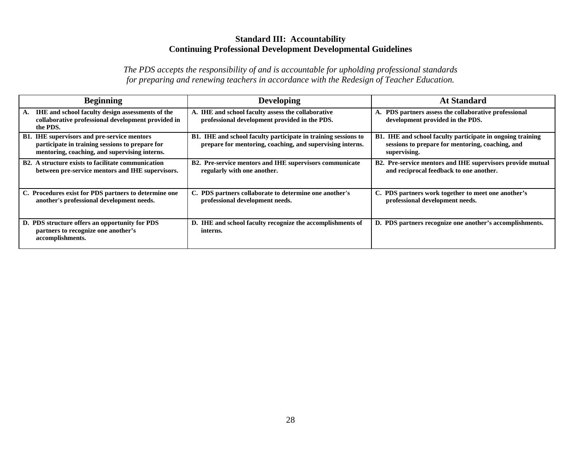### **Standard III: Accountability Continuing Professional Development Developmental Guidelines**

| <b>Beginning</b>                                                                                                                                       | <b>Developing</b>                                                                                                           | <b>At Standard</b>                                                                                                                    |
|--------------------------------------------------------------------------------------------------------------------------------------------------------|-----------------------------------------------------------------------------------------------------------------------------|---------------------------------------------------------------------------------------------------------------------------------------|
| <b>IHE</b> and school faculty design assessments of the<br>А.<br>collaborative professional development provided in<br>the PDS.                        | A. IHE and school faculty assess the collaborative<br>professional development provided in the PDS.                         | A. PDS partners assess the collaborative professional<br>development provided in the PDS.                                             |
| <b>B1.</b> IHE supervisors and pre-service mentors<br>participate in training sessions to prepare for<br>mentoring, coaching, and supervising interns. | B1. IHE and school faculty participate in training sessions to<br>prepare for mentoring, coaching, and supervising interns. | <b>B1.</b> IHE and school faculty participate in ongoing training<br>sessions to prepare for mentoring, coaching, and<br>supervising. |
| <b>B2.</b> A structure exists to facilitate communication<br>between pre-service mentors and IHE supervisors.                                          | B2. Pre-service mentors and IHE supervisors communicate<br>regularly with one another.                                      | B2. Pre-service mentors and IHE supervisors provide mutual<br>and reciprocal feedback to one another.                                 |
| C. Procedures exist for PDS partners to determine one<br>another's professional development needs.                                                     | C. PDS partners collaborate to determine one another's<br>professional development needs.                                   | C. PDS partners work together to meet one another's<br>professional development needs.                                                |
| D. PDS structure offers an opportunity for PDS<br>partners to recognize one another's<br>accomplishments.                                              | D. IHE and school faculty recognize the accomplishments of<br>interns.                                                      | D. PDS partners recognize one another's accomplishments.                                                                              |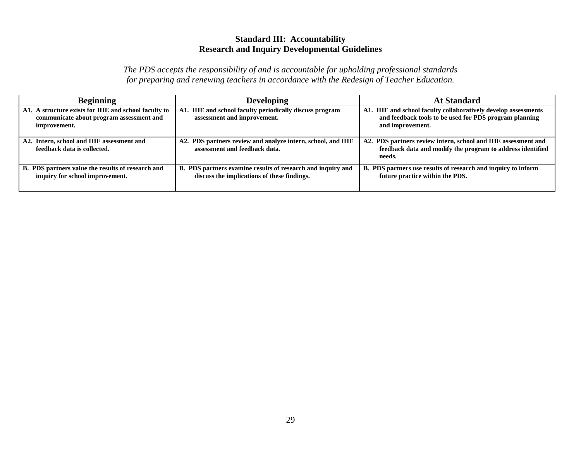### **Standard III: Accountability Research and Inquiry Developmental Guidelines**

| <b>Beginning</b>                                                                                                 | <b>Developing</b>                                                                                          | At Standard                                                                                                                                  |
|------------------------------------------------------------------------------------------------------------------|------------------------------------------------------------------------------------------------------------|----------------------------------------------------------------------------------------------------------------------------------------------|
| A1. A structure exists for IHE and school faculty to<br>communicate about program assessment and<br>improvement. | A1. IHE and school faculty periodically discuss program<br>assessment and improvement.                     | A1. IHE and school faculty collaboratively develop assessments<br>and feedback tools to be used for PDS program planning<br>and improvement. |
| A2. Intern, school and IHE assessment and<br>feedback data is collected.                                         | A2. PDS partners review and analyze intern, school, and IHE<br>assessment and feedback data.               | A2. PDS partners review intern, school and IHE assessment and<br>feedback data and modify the program to address identified<br>needs.        |
| B. PDS partners value the results of research and<br>inquiry for school improvement.                             | B. PDS partners examine results of research and inquiry and<br>discuss the implications of these findings. | B. PDS partners use results of research and inquiry to inform<br>future practice within the PDS.                                             |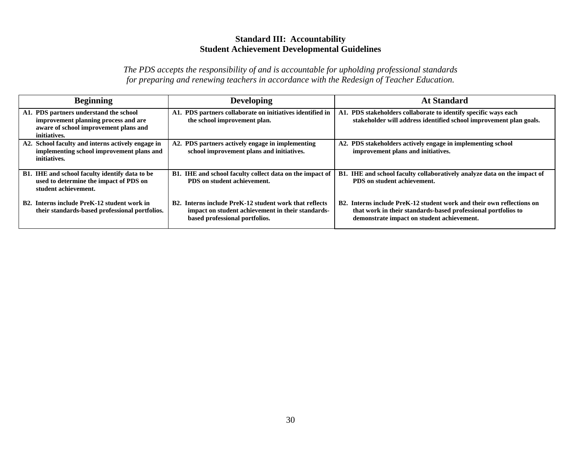### **Standard III: Accountability Student Achievement Developmental Guidelines**

| <b>Beginning</b>                                                                                                                        | <b>Developing</b>                                                                                                                                          | <b>At Standard</b>                                                                                                                                                                                |
|-----------------------------------------------------------------------------------------------------------------------------------------|------------------------------------------------------------------------------------------------------------------------------------------------------------|---------------------------------------------------------------------------------------------------------------------------------------------------------------------------------------------------|
| A1. PDS partners understand the school<br>improvement planning process and are<br>aware of school improvement plans and<br>initiatives. | A1. PDS partners collaborate on initiatives identified in<br>the school improvement plan.                                                                  | A1. PDS stakeholders collaborate to identify specific ways each<br>stakeholder will address identified school improvement plan goals.                                                             |
| A2. School faculty and interns actively engage in<br>implementing school improvement plans and<br>initiatives.                          | A2. PDS partners actively engage in implementing<br>school improvement plans and initiatives.                                                              | A2. PDS stakeholders actively engage in implementing school<br>improvement plans and initiatives.                                                                                                 |
| B1. IHE and school faculty identify data to be<br>used to determine the impact of PDS on<br>student achievement.                        | B1. IHE and school faculty collect data on the impact of<br>PDS on student achievement.                                                                    | <b>B1.</b> IHE and school faculty collaboratively analyze data on the impact of<br>PDS on student achievement.                                                                                    |
| B2. Interns include PreK-12 student work in<br>their standards-based professional portfolios.                                           | B <sub>2</sub> . Interns include PreK-12 student work that reflects<br>impact on student achievement in their standards-<br>based professional portfolios. | B <sub>2</sub> . Interns include PreK-12 student work and their own reflections on<br>that work in their standards-based professional portfolios to<br>demonstrate impact on student achievement. |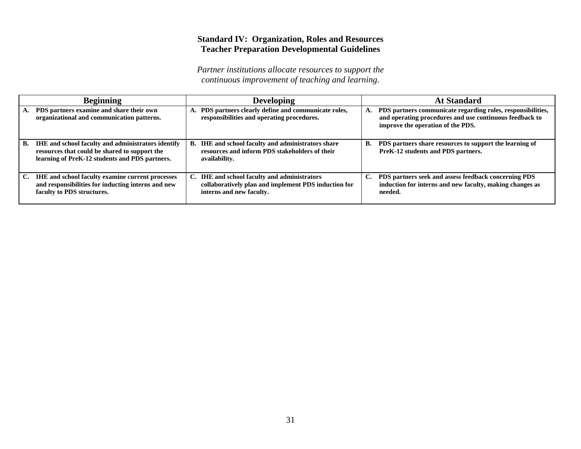# **Standard IV: Organization, Roles and Resources Teacher Preparation Developmental Guidelines**

| <b>Beginning</b>                                                                                                                                                   | <b>Developing</b>                                                                                                                | <b>At Standard</b>                                                                                                                                                |
|--------------------------------------------------------------------------------------------------------------------------------------------------------------------|----------------------------------------------------------------------------------------------------------------------------------|-------------------------------------------------------------------------------------------------------------------------------------------------------------------|
| PDS partners examine and share their own<br>organizational and communication patterns.                                                                             | A. PDS partners clearly define and communicate roles,<br>responsibilities and operating procedures.                              | PDS partners communicate regarding roles, responsibilities,<br>А.<br>and operating procedures and use continuous feedback to<br>improve the operation of the PDS. |
| <b>IHE</b> and school faculty and administrators identify<br>В.<br>resources that could be shared to support the<br>learning of PreK-12 students and PDS partners. | B. IHE and school faculty and administrators share<br>resources and inform PDS stakeholders of their<br>availability.            | PDS partners share resources to support the learning of<br><b>B.</b><br>PreK-12 students and PDS partners.                                                        |
| <b>IHE</b> and school faculty examine current processes<br>C.<br>and responsibilities for inducting interns and new<br>faculty to PDS structures.                  | C. IHE and school faculty and administrators<br>collaboratively plan and implement PDS induction for<br>interns and new faculty. | PDS partners seek and assess feedback concerning PDS<br>induction for interns and new faculty, making changes as<br>needed.                                       |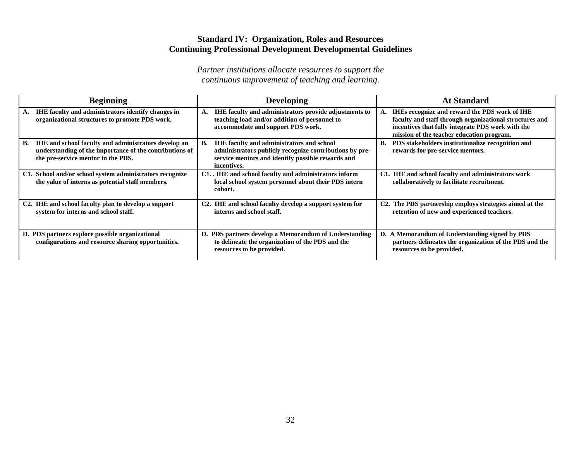### **Standard IV: Organization, Roles and Resources Continuing Professional Development Developmental Guidelines**

| <b>Beginning</b>                                                                                                                                                          | <b>Developing</b>                                                                                                                                                                     | <b>At Standard</b>                                                                                                                                                                                                |
|---------------------------------------------------------------------------------------------------------------------------------------------------------------------------|---------------------------------------------------------------------------------------------------------------------------------------------------------------------------------------|-------------------------------------------------------------------------------------------------------------------------------------------------------------------------------------------------------------------|
| IHE faculty and administrators identify changes in<br>А.<br>organizational structures to promote PDS work.                                                                | IHE faculty and administrators provide adjustments to<br>А.<br>teaching load and/or addition of personnel to<br>accommodate and support PDS work.                                     | <b>IHEs recognize and reward the PDS work of IHE</b><br>faculty and staff through organizational structures and<br>incentives that fully integrate PDS work with the<br>mission of the teacher education program. |
| <b>IHE</b> and school faculty and administrators develop an<br><b>B.</b><br>understanding of the importance of the contributions of<br>the pre-service mentor in the PDS. | <b>IHE faculty and administrators and school</b><br>В.<br>administrators publicly recognize contributions by pre-<br>service mentors and identify possible rewards and<br>incentives. | B. PDS stakeholders institutionalize recognition and<br>rewards for pre-service mentors.                                                                                                                          |
| C1. School and/or school system administrators recognize<br>the value of interns as potential staff members.                                                              | C1. IHE and school faculty and administrators inform<br>local school system personnel about their PDS intern<br>cohort.                                                               | C1. IHE and school faculty and administrators work<br>collaboratively to facilitate recruitment.                                                                                                                  |
| C2. IHE and school faculty plan to develop a support<br>system for interns and school staff.                                                                              | C2. IHE and school faculty develop a support system for<br>interns and school staff.                                                                                                  | C2. The PDS partnership employs strategies aimed at the<br>retention of new and experienced teachers.                                                                                                             |
| D. PDS partners explore possible organizational<br>configurations and resource sharing opportunities.                                                                     | D. PDS partners develop a Memorandum of Understanding<br>to delineate the organization of the PDS and the<br>resources to be provided.                                                | D. A Memorandum of Understanding signed by PDS<br>partners delineates the organization of the PDS and the<br>resources to be provided.                                                                            |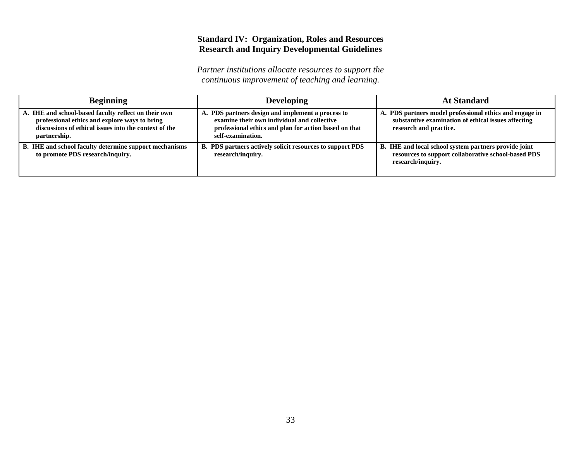# **Standard IV: Organization, Roles and Resources Research and Inquiry Developmental Guidelines**

| <b>Beginning</b>                                                                                                                                                               | <b>Developing</b>                                                                                                                                                              | At Standard                                                                                                                              |
|--------------------------------------------------------------------------------------------------------------------------------------------------------------------------------|--------------------------------------------------------------------------------------------------------------------------------------------------------------------------------|------------------------------------------------------------------------------------------------------------------------------------------|
| A. IHE and school-based faculty reflect on their own<br>professional ethics and explore ways to bring<br>discussions of ethical issues into the context of the<br>partnership. | A. PDS partners design and implement a process to<br>examine their own individual and collective<br>professional ethics and plan for action based on that<br>self-examination. | A. PDS partners model professional ethics and engage in<br>substantive examination of ethical issues affecting<br>research and practice. |
| B. IHE and school faculty determine support mechanisms<br>to promote PDS research/inquiry.                                                                                     | <b>B. PDS partners actively solicit resources to support PDS</b><br>research/inquiry.                                                                                          | B. IHE and local school system partners provide joint<br>resources to support collaborative school-based PDS<br>research/inquiry.        |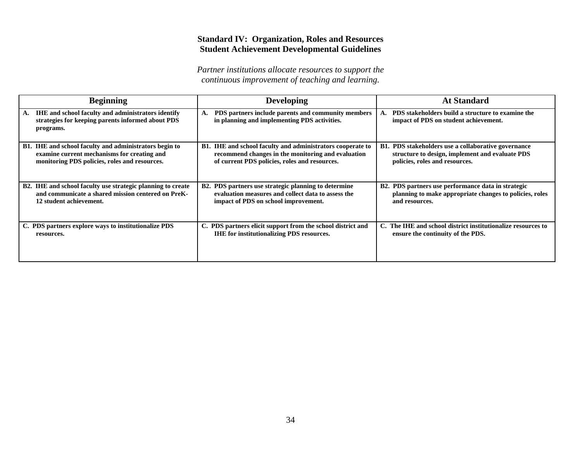# **Standard IV: Organization, Roles and Resources Student Achievement Developmental Guidelines**

| <b>Beginning</b>                                                                                                                  | <b>Developing</b>                                                                                  | <b>At Standard</b>                                                                         |
|-----------------------------------------------------------------------------------------------------------------------------------|----------------------------------------------------------------------------------------------------|--------------------------------------------------------------------------------------------|
| <b>IHE</b> and school faculty and administrators identify<br>A.<br>strategies for keeping parents informed about PDS<br>programs. | PDS partners include parents and community members<br>in planning and implementing PDS activities. | PDS stakeholders build a structure to examine the<br>impact of PDS on student achievement. |
| B1. IHE and school faculty and administrators begin to                                                                            | B1. IHE and school faculty and administrators cooperate to                                         | <b>B1. PDS</b> stakeholders use a collaborative governance                                 |
| examine current mechanisms for creating and                                                                                       | recommend changes in the monitoring and evaluation                                                 | structure to design, implement and evaluate PDS                                            |
| monitoring PDS policies, roles and resources.                                                                                     | of current PDS policies, roles and resources.                                                      | policies, roles and resources.                                                             |
| B2. IHE and school faculty use strategic planning to create                                                                       | B2. PDS partners use strategic planning to determine                                               | B2. PDS partners use performance data in strategic                                         |
| and communicate a shared mission centered on PreK-                                                                                | evaluation measures and collect data to assess the                                                 | planning to make appropriate changes to policies, roles                                    |
| 12 student achievement.                                                                                                           | impact of PDS on school improvement.                                                               | and resources.                                                                             |
| C. PDS partners explore ways to institutionalize PDS                                                                              | C. PDS partners elicit support from the school district and                                        | C. The IHE and school district institutionalize resources to                               |
| resources.                                                                                                                        | <b>IHE</b> for institutionalizing PDS resources.                                                   | ensure the continuity of the PDS.                                                          |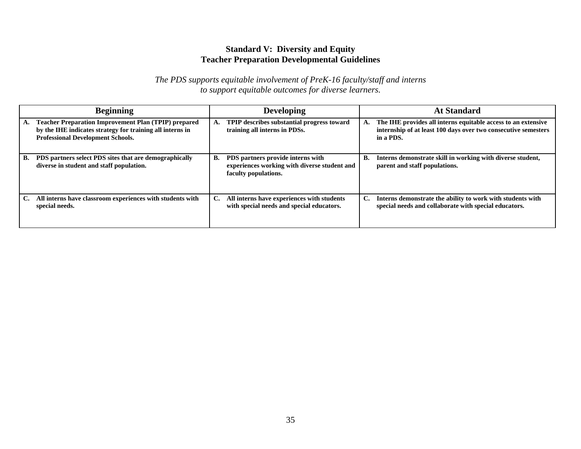### **Standard V: Diversity and Equity Teacher Preparation Developmental Guidelines**

|    | <b>Beginning</b>                                                                                                                                                     |    | <b>Developing</b>                                                                                         |    | <b>At Standard</b>                                                                                                                           |
|----|----------------------------------------------------------------------------------------------------------------------------------------------------------------------|----|-----------------------------------------------------------------------------------------------------------|----|----------------------------------------------------------------------------------------------------------------------------------------------|
|    | <b>Teacher Preparation Improvement Plan (TPIP) prepared</b><br>by the IHE indicates strategy for training all interns in<br><b>Professional Development Schools.</b> |    | TPIP describes substantial progress toward<br>training all interns in PDSs.                               | А. | The IHE provides all interns equitable access to an extensive<br>internship of at least 100 days over two consecutive semesters<br>in a PDS. |
| В. | PDS partners select PDS sites that are demographically<br>diverse in student and staff population.                                                                   | В. | PDS partners provide interns with<br>experiences working with diverse student and<br>faculty populations. | В. | Interns demonstrate skill in working with diverse student,<br>parent and staff populations.                                                  |
| C. | All interns have classroom experiences with students with<br>special needs.                                                                                          | C. | All interns have experiences with students<br>with special needs and special educators.                   | C. | Interns demonstrate the ability to work with students with<br>special needs and collaborate with special educators.                          |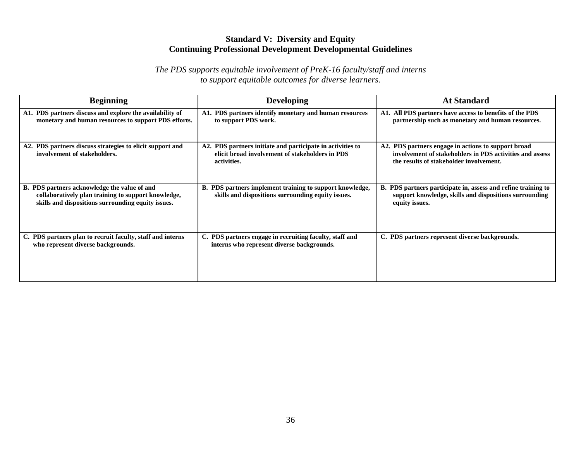# **Standard V: Diversity and Equity Continuing Professional Development Developmental Guidelines**

| <b>Beginning</b>                                                                                                                                          | <b>Developing</b>                                                                                                            | <b>At Standard</b>                                                                                                                                         |
|-----------------------------------------------------------------------------------------------------------------------------------------------------------|------------------------------------------------------------------------------------------------------------------------------|------------------------------------------------------------------------------------------------------------------------------------------------------------|
| A1. PDS partners discuss and explore the availability of<br>monetary and human resources to support PDS efforts.                                          | A1. PDS partners identify monetary and human resources<br>to support PDS work.                                               | A1. All PDS partners have access to benefits of the PDS<br>partnership such as monetary and human resources.                                               |
| A2. PDS partners discuss strategies to elicit support and<br>involvement of stakeholders.                                                                 | A2. PDS partners initiate and participate in activities to<br>elicit broad involvement of stakeholders in PDS<br>activities. | A2. PDS partners engage in actions to support broad<br>involvement of stakeholders in PDS activities and assess<br>the results of stakeholder involvement. |
| B. PDS partners acknowledge the value of and<br>collaboratively plan training to support knowledge,<br>skills and dispositions surrounding equity issues. | B. PDS partners implement training to support knowledge,<br>skills and dispositions surrounding equity issues.               | B. PDS partners participate in, assess and refine training to<br>support knowledge, skills and dispositions surrounding<br>equity issues.                  |
| C. PDS partners plan to recruit faculty, staff and interns<br>who represent diverse backgrounds.                                                          | C. PDS partners engage in recruiting faculty, staff and<br>interns who represent diverse backgrounds.                        | C. PDS partners represent diverse backgrounds.                                                                                                             |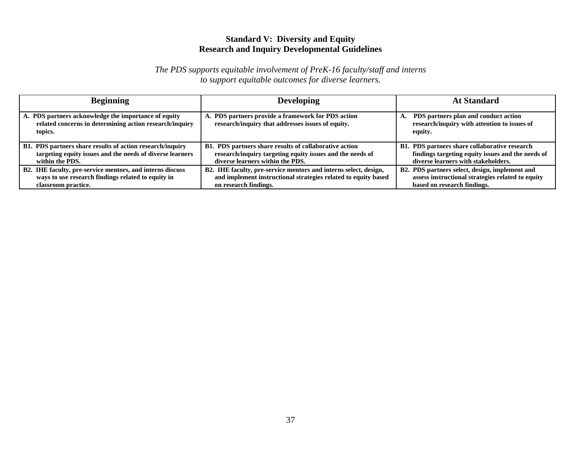### **Standard V: Diversity and Equity Research and Inquiry Developmental Guidelines**

| <b>Beginning</b>                                                                                                           | <b>Developing</b>                                                                                       | <b>At Standard</b>                                                                              |
|----------------------------------------------------------------------------------------------------------------------------|---------------------------------------------------------------------------------------------------------|-------------------------------------------------------------------------------------------------|
| A. PDS partners acknowledge the importance of equity<br>related concerns in determining action research/inquiry<br>topics. | A. PDS partners provide a framework for PDS action<br>research/inquiry that addresses issues of equity. | PDS partners plan and conduct action<br>research/inquiry with attention to issues of<br>equity. |
| B1. PDS partners share results of action research/inquiry                                                                  | B1. PDS partners share results of collaborative action                                                  | B1. PDS partners share collaborative research                                                   |
| targeting equity issues and the needs of diverse learners                                                                  | research/inquiry targeting equity issues and the needs of                                               | findings targeting equity issues and the needs of                                               |
| within the PDS.                                                                                                            | diverse learners within the PDS.                                                                        | diverse learners with stakeholders.                                                             |
| B2. IHE faculty, pre-service mentors, and interns discuss                                                                  | B2. IHE faculty, pre-service mentors and interns select, design,                                        | B2. PDS partners select, design, implement and                                                  |
| ways to use research findings related to equity in                                                                         | and implement instructional strategies related to equity based                                          | assess instructional strategies related to equity                                               |
| classroom practice.                                                                                                        | on research findings.                                                                                   | based on research findings.                                                                     |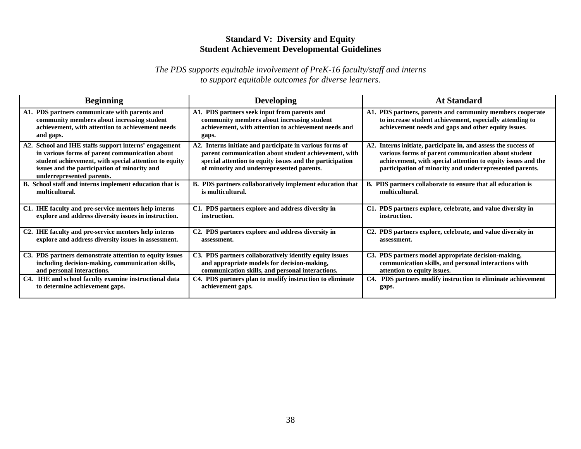# **Standard V: Diversity and Equity Student Achievement Developmental Guidelines**

| <b>Beginning</b>                                                                                                                                                                                                                              | <b>Developing</b>                                                                                                                                                                                                         | <b>At Standard</b>                                                                                                                                                                                                                                |  |
|-----------------------------------------------------------------------------------------------------------------------------------------------------------------------------------------------------------------------------------------------|---------------------------------------------------------------------------------------------------------------------------------------------------------------------------------------------------------------------------|---------------------------------------------------------------------------------------------------------------------------------------------------------------------------------------------------------------------------------------------------|--|
| A1. PDS partners communicate with parents and<br>community members about increasing student<br>achievement, with attention to achievement needs<br>and gaps.                                                                                  | A1. PDS partners seek input from parents and<br>community members about increasing student<br>achievement, with attention to achievement needs and<br>gaps.                                                               | A1. PDS partners, parents and community members cooperate<br>to increase student achievement, especially attending to<br>achievement needs and gaps and other equity issues.                                                                      |  |
| A2. School and IHE staffs support interns' engagement<br>in various forms of parent communication about<br>student achievement, with special attention to equity<br>issues and the participation of minority and<br>underrepresented parents. | A2. Interns initiate and participate in various forms of<br>parent communication about student achievement, with<br>special attention to equity issues and the participation<br>of minority and underrepresented parents. | A2. Interns initiate, participate in, and assess the success of<br>various forms of parent communication about student<br>achievement, with special attention to equity issues and the<br>participation of minority and underrepresented parents. |  |
| B. School staff and interns implement education that is                                                                                                                                                                                       | B. PDS partners collaboratively implement education that                                                                                                                                                                  | B. PDS partners collaborate to ensure that all education is                                                                                                                                                                                       |  |
| multicultural.                                                                                                                                                                                                                                | is multicultural.                                                                                                                                                                                                         | multicultural.                                                                                                                                                                                                                                    |  |
| C1. IHE faculty and pre-service mentors help interns                                                                                                                                                                                          | C1. PDS partners explore and address diversity in                                                                                                                                                                         | C1. PDS partners explore, celebrate, and value diversity in                                                                                                                                                                                       |  |
| explore and address diversity issues in instruction.                                                                                                                                                                                          | instruction.                                                                                                                                                                                                              | instruction.                                                                                                                                                                                                                                      |  |
| C2. IHE faculty and pre-service mentors help interns                                                                                                                                                                                          | C <sub>2</sub> . PDS partners explore and address diversity in                                                                                                                                                            | C2. PDS partners explore, celebrate, and value diversity in                                                                                                                                                                                       |  |
| explore and address diversity issues in assessment.                                                                                                                                                                                           | assessment.                                                                                                                                                                                                               | assessment.                                                                                                                                                                                                                                       |  |
| C3. PDS partners demonstrate attention to equity issues                                                                                                                                                                                       | C3. PDS partners collaboratively identify equity issues                                                                                                                                                                   | C3. PDS partners model appropriate decision-making,                                                                                                                                                                                               |  |
| including decision-making, communication skills,                                                                                                                                                                                              | and appropriate models for decision-making,                                                                                                                                                                               | communication skills, and personal interactions with                                                                                                                                                                                              |  |
| and personal interactions.                                                                                                                                                                                                                    | communication skills, and personal interactions.                                                                                                                                                                          | attention to equity issues.                                                                                                                                                                                                                       |  |
| C4. IHE and school faculty examine instructional data                                                                                                                                                                                         | C4. PDS partners plan to modify instruction to eliminate                                                                                                                                                                  | C4. PDS partners modify instruction to eliminate achievement                                                                                                                                                                                      |  |
| to determine achievement gaps.                                                                                                                                                                                                                | achievement gaps.                                                                                                                                                                                                         | gaps.                                                                                                                                                                                                                                             |  |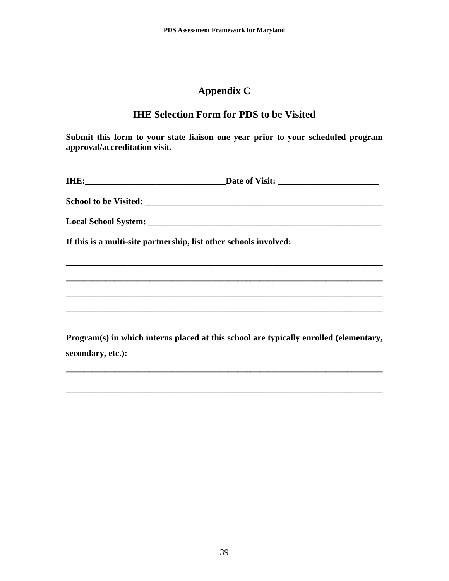# **Appendix C**

# **IHE Selection Form for PDS to be Visited**

**Submit this form to your state liaison one year prior to your scheduled program approval/accreditation visit.** 

| If this is a multi-site partnership, list other schools involved: |                                                                                       |
|-------------------------------------------------------------------|---------------------------------------------------------------------------------------|
|                                                                   |                                                                                       |
|                                                                   |                                                                                       |
|                                                                   |                                                                                       |
|                                                                   |                                                                                       |
|                                                                   | Program(s) in which interns placed at this school are typically enrolled (elementary, |
| secondary, etc.):                                                 |                                                                                       |
|                                                                   |                                                                                       |

**\_\_\_\_\_\_\_\_\_\_\_\_\_\_\_\_\_\_\_\_\_\_\_\_\_\_\_\_\_\_\_\_\_\_\_\_\_\_\_\_\_\_\_\_\_\_\_\_\_\_\_\_\_\_\_\_\_\_\_\_\_\_\_\_\_\_\_\_\_\_\_\_**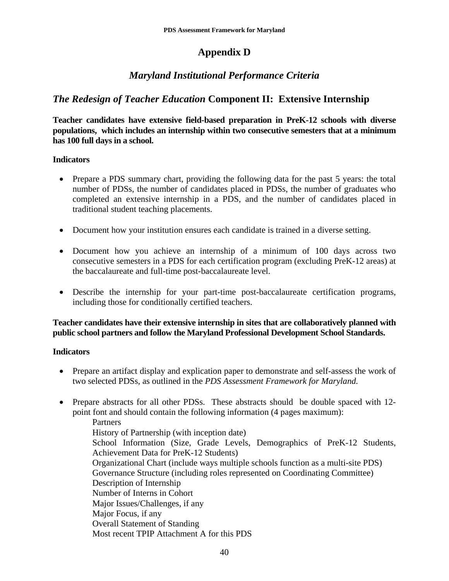# **Appendix D**

# *Maryland Institutional Performance Criteria*

# *The Redesign of Teacher Education* **Component II: Extensive Internship**

**Teacher candidates have extensive field-based preparation in PreK-12 schools with diverse populations, which includes an internship within two consecutive semesters that at a minimum has 100 full days in a school.** 

### **Indicators**

- Prepare a PDS summary chart, providing the following data for the past 5 years: the total number of PDSs, the number of candidates placed in PDSs, the number of graduates who completed an extensive internship in a PDS, and the number of candidates placed in traditional student teaching placements.
- Document how your institution ensures each candidate is trained in a diverse setting.
- Document how you achieve an internship of a minimum of 100 days across two consecutive semesters in a PDS for each certification program (excluding PreK-12 areas) at the baccalaureate and full-time post-baccalaureate level.
- Describe the internship for your part-time post-baccalaureate certification programs, including those for conditionally certified teachers.

### **Teacher candidates have their extensive internship in sites that are collaboratively planned with public school partners and follow the Maryland Professional Development School Standards.**

### **Indicators**

- Prepare an artifact display and explication paper to demonstrate and self-assess the work of two selected PDSs, as outlined in the *PDS Assessment Framework for Maryland.*
- Prepare abstracts for all other PDSs. These abstracts should be double spaced with 12 point font and should contain the following information (4 pages maximum): **Partners** History of Partnership (with inception date) School Information (Size, Grade Levels, Demographics of PreK-12 Students, Achievement Data for PreK-12 Students) Organizational Chart (include ways multiple schools function as a multi-site PDS) Governance Structure (including roles represented on Coordinating Committee) Description of Internship Number of Interns in Cohort Major Issues/Challenges, if any Major Focus, if any Overall Statement of Standing Most recent TPIP Attachment A for this PDS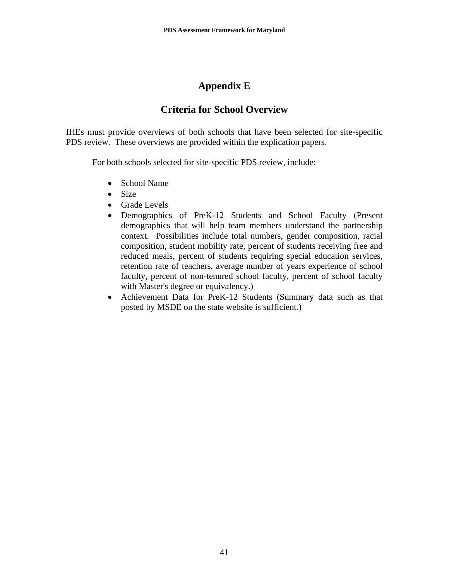# **Appendix E**

# **Criteria for School Overview**

IHEs must provide overviews of both schools that have been selected for site-specific PDS review. These overviews are provided within the explication papers.

For both schools selected for site-specific PDS review, include:

- School Name
- Size
- Grade Levels
- Demographics of PreK-12 Students and School Faculty (Present demographics that will help team members understand the partnership context. Possibilities include total numbers, gender composition, racial composition, student mobility rate, percent of students receiving free and reduced meals, percent of students requiring special education services, retention rate of teachers, average number of years experience of school faculty, percent of non-tenured school faculty, percent of school faculty with Master's degree or equivalency.)
- Achievement Data for PreK-12 Students (Summary data such as that posted by MSDE on the state website is sufficient.)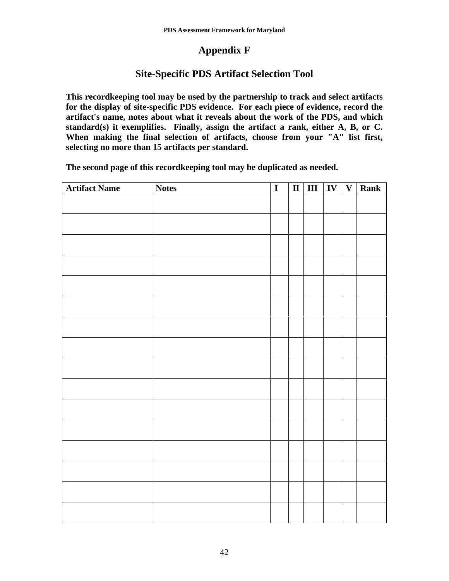# **Appendix F**

# **Site-Specific PDS Artifact Selection Tool**

**This recordkeeping tool may be used by the partnership to track and select artifacts for the display of site-specific PDS evidence. For each piece of evidence, record the artifact's name, notes about what it reveals about the work of the PDS, and which standard(s) it exemplifies. Finally, assign the artifact a rank, either A, B, or C. When making the final selection of artifacts, choose from your "A" list first, selecting no more than 15 artifacts per standard.** 

**The second page of this recordkeeping tool may be duplicated as needed.** 

| <b>Artifact Name</b> | <b>Notes</b> | $\overline{I}$ |  |  | $\left  \frac{1}{2} \right $ III $\left  \frac{1}{2} \right $ V $\left  \frac{1}{2} \right $ Rank |
|----------------------|--------------|----------------|--|--|---------------------------------------------------------------------------------------------------|
|                      |              |                |  |  |                                                                                                   |
|                      |              |                |  |  |                                                                                                   |
|                      |              |                |  |  |                                                                                                   |
|                      |              |                |  |  |                                                                                                   |
|                      |              |                |  |  |                                                                                                   |
|                      |              |                |  |  |                                                                                                   |
|                      |              |                |  |  |                                                                                                   |
|                      |              |                |  |  |                                                                                                   |
|                      |              |                |  |  |                                                                                                   |
|                      |              |                |  |  |                                                                                                   |
|                      |              |                |  |  |                                                                                                   |
|                      |              |                |  |  |                                                                                                   |
|                      |              |                |  |  |                                                                                                   |
|                      |              |                |  |  |                                                                                                   |
|                      |              |                |  |  |                                                                                                   |
|                      |              |                |  |  |                                                                                                   |
|                      |              |                |  |  |                                                                                                   |
|                      |              |                |  |  |                                                                                                   |
|                      |              |                |  |  |                                                                                                   |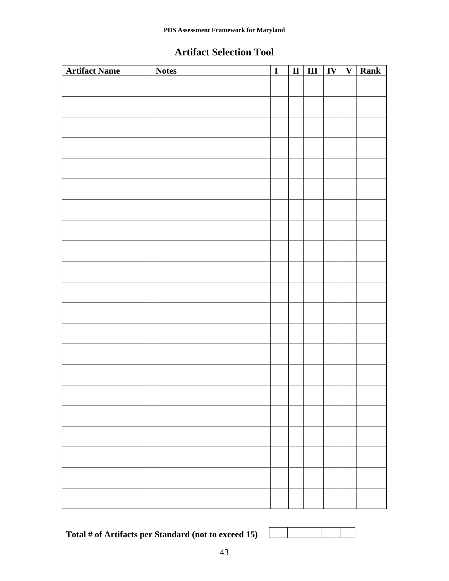# **Artifact Selection Tool**

| <b>Artifact Name</b> | <b>Notes</b> | $\overline{I}$ |  |  | $\boxed{\text{II}$ $\boxed{\text{III}$ $\boxed{\text{IV}$ $\boxed{\text{V}}}$ Rank |
|----------------------|--------------|----------------|--|--|------------------------------------------------------------------------------------|
|                      |              |                |  |  |                                                                                    |
|                      |              |                |  |  |                                                                                    |
|                      |              |                |  |  |                                                                                    |
|                      |              |                |  |  |                                                                                    |
|                      |              |                |  |  |                                                                                    |
|                      |              |                |  |  |                                                                                    |
|                      |              |                |  |  |                                                                                    |
|                      |              |                |  |  |                                                                                    |
|                      |              |                |  |  |                                                                                    |
|                      |              |                |  |  |                                                                                    |
|                      |              |                |  |  |                                                                                    |
|                      |              |                |  |  |                                                                                    |
|                      |              |                |  |  |                                                                                    |
|                      |              |                |  |  |                                                                                    |
|                      |              |                |  |  |                                                                                    |
|                      |              |                |  |  |                                                                                    |
|                      |              |                |  |  |                                                                                    |
|                      |              |                |  |  |                                                                                    |
|                      |              |                |  |  |                                                                                    |
|                      |              |                |  |  |                                                                                    |
|                      |              |                |  |  |                                                                                    |
|                      |              |                |  |  |                                                                                    |

**Total # of Artifacts per Standard (not to exceed 15)**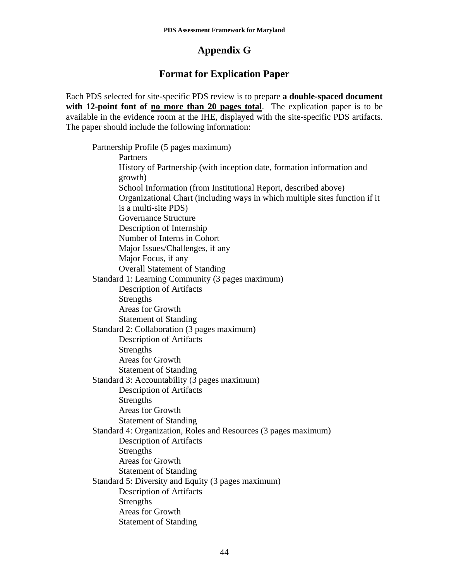# **Appendix G**

# **Format for Explication Paper**

Each PDS selected for site-specific PDS review is to prepare **a double-spaced document**  with 12-point font of <u>no more than 20 pages total</u>. The explication paper is to be available in the evidence room at the IHE, displayed with the site-specific PDS artifacts. The paper should include the following information:

 Partnership Profile (5 pages maximum) Partners History of Partnership (with inception date, formation information and growth) School Information (from Institutional Report, described above) Organizational Chart (including ways in which multiple sites function if it is a multi-site PDS) Governance Structure Description of Internship Number of Interns in Cohort Major Issues/Challenges, if any Major Focus, if any Overall Statement of Standing Standard 1: Learning Community (3 pages maximum) Description of Artifacts Strengths Areas for Growth Statement of Standing Standard 2: Collaboration (3 pages maximum) Description of Artifacts Strengths Areas for Growth Statement of Standing Standard 3: Accountability (3 pages maximum) Description of Artifacts **Strengths**  Areas for Growth Statement of Standing Standard 4: Organization, Roles and Resources (3 pages maximum) Description of Artifacts Strengths Areas for Growth Statement of Standing Standard 5: Diversity and Equity (3 pages maximum) Description of Artifacts **Strengths**  Areas for Growth Statement of Standing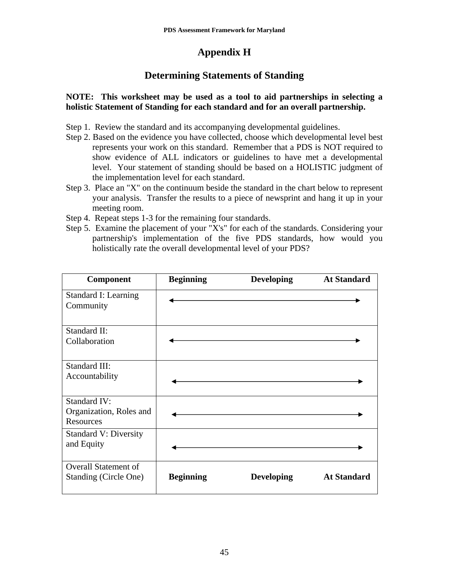# **Appendix H**

# **Determining Statements of Standing**

### **NOTE: This worksheet may be used as a tool to aid partnerships in selecting a holistic Statement of Standing for each standard and for an overall partnership.**

- Step 1. Review the standard and its accompanying developmental guidelines.
- Step 2. Based on the evidence you have collected, choose which developmental level best represents your work on this standard. Remember that a PDS is NOT required to show evidence of ALL indicators or guidelines to have met a developmental level. Your statement of standing should be based on a HOLISTIC judgment of the implementation level for each standard.
- Step 3. Place an "X" on the continuum beside the standard in the chart below to represent your analysis. Transfer the results to a piece of newsprint and hang it up in your meeting room.
- Step 4. Repeat steps 1-3 for the remaining four standards.
- Step 5. Examine the placement of your "X's" for each of the standards. Considering your partnership's implementation of the five PDS standards, how would you holistically rate the overall developmental level of your PDS?

| <b>Component</b>                                            | <b>Beginning</b> | <b>Developing</b> | <b>At Standard</b> |
|-------------------------------------------------------------|------------------|-------------------|--------------------|
| <b>Standard I: Learning</b><br>Community                    |                  |                   |                    |
| Standard II:<br>Collaboration                               |                  |                   |                    |
| Standard III:<br>Accountability                             |                  |                   |                    |
| <b>Standard IV:</b><br>Organization, Roles and<br>Resources |                  |                   |                    |
| <b>Standard V: Diversity</b><br>and Equity                  |                  |                   |                    |
| <b>Overall Statement of</b><br>Standing (Circle One)        | <b>Beginning</b> | <b>Developing</b> | <b>At Standard</b> |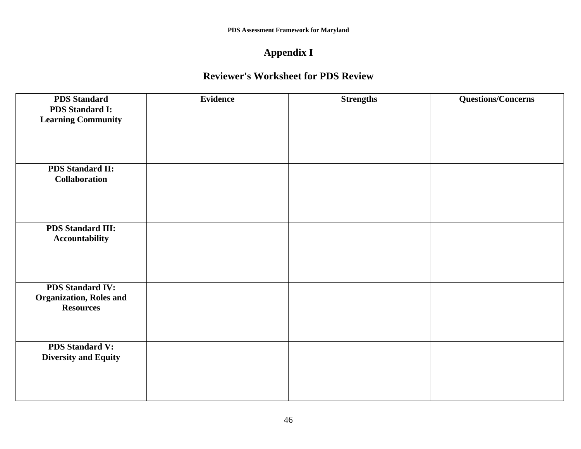# **Appendix I**

# **Reviewer's Worksheet for PDS Review**

| <b>PDS</b> Standard             | <b>Evidence</b> | <b>Strengths</b> | <b>Questions/Concerns</b> |
|---------------------------------|-----------------|------------------|---------------------------|
| <b>PDS Standard I:</b>          |                 |                  |                           |
| <b>Learning Community</b>       |                 |                  |                           |
|                                 |                 |                  |                           |
|                                 |                 |                  |                           |
|                                 |                 |                  |                           |
| <b>PDS Standard II:</b>         |                 |                  |                           |
| <b>Collaboration</b>            |                 |                  |                           |
|                                 |                 |                  |                           |
|                                 |                 |                  |                           |
|                                 |                 |                  |                           |
|                                 |                 |                  |                           |
| <b>PDS Standard III:</b>        |                 |                  |                           |
| Accountability                  |                 |                  |                           |
|                                 |                 |                  |                           |
|                                 |                 |                  |                           |
|                                 |                 |                  |                           |
| <b>PDS Standard IV:</b>         |                 |                  |                           |
| <b>Organization</b> , Roles and |                 |                  |                           |
| <b>Resources</b>                |                 |                  |                           |
|                                 |                 |                  |                           |
|                                 |                 |                  |                           |
| <b>PDS Standard V:</b>          |                 |                  |                           |
| <b>Diversity and Equity</b>     |                 |                  |                           |
|                                 |                 |                  |                           |
|                                 |                 |                  |                           |
|                                 |                 |                  |                           |
|                                 |                 |                  |                           |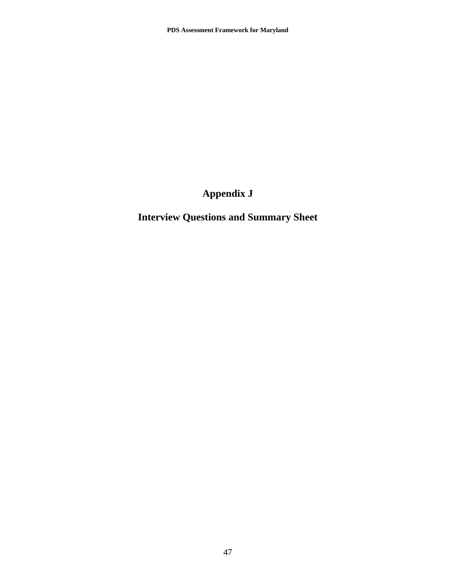# **Appendix J**

# **Interview Questions and Summary Sheet**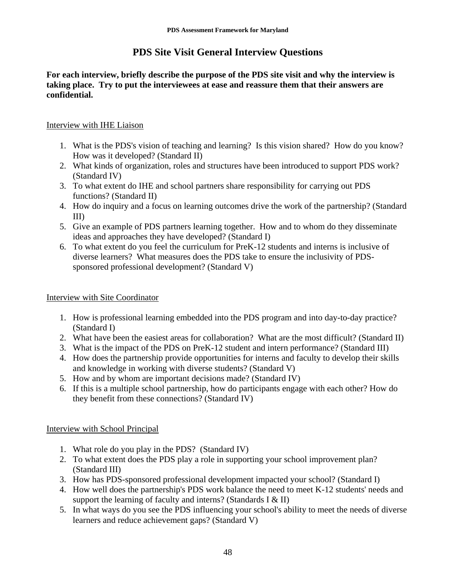# **PDS Site Visit General Interview Questions**

**For each interview, briefly describe the purpose of the PDS site visit and why the interview is taking place. Try to put the interviewees at ease and reassure them that their answers are confidential.** 

### Interview with IHE Liaison

- 1. What is the PDS's vision of teaching and learning? Is this vision shared? How do you know? How was it developed? (Standard II)
- 2. What kinds of organization, roles and structures have been introduced to support PDS work? (Standard IV)
- 3. To what extent do IHE and school partners share responsibility for carrying out PDS functions? (Standard II)
- 4. How do inquiry and a focus on learning outcomes drive the work of the partnership? (Standard III)
- 5. Give an example of PDS partners learning together. How and to whom do they disseminate ideas and approaches they have developed? (Standard I)
- 6. To what extent do you feel the curriculum for PreK-12 students and interns is inclusive of diverse learners? What measures does the PDS take to ensure the inclusivity of PDSsponsored professional development? (Standard V)

### Interview with Site Coordinator

- 1. How is professional learning embedded into the PDS program and into day-to-day practice? (Standard I)
- 2. What have been the easiest areas for collaboration? What are the most difficult? (Standard II)
- 3. What is the impact of the PDS on PreK-12 student and intern performance? (Standard III)
- 4. How does the partnership provide opportunities for interns and faculty to develop their skills and knowledge in working with diverse students? (Standard V)
- 5. How and by whom are important decisions made? (Standard IV)
- 6. If this is a multiple school partnership, how do participants engage with each other? How do they benefit from these connections? (Standard IV)

### Interview with School Principal

- 1. What role do you play in the PDS? (Standard IV)
- 2. To what extent does the PDS play a role in supporting your school improvement plan? (Standard III)
- 3. How has PDS-sponsored professional development impacted your school? (Standard I)
- 4. How well does the partnership's PDS work balance the need to meet K-12 students' needs and support the learning of faculty and interns? (Standards I & II)
- 5. In what ways do you see the PDS influencing your school's ability to meet the needs of diverse learners and reduce achievement gaps? (Standard V)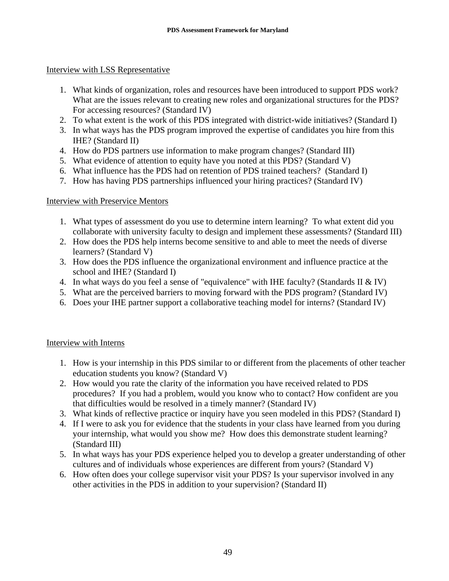### Interview with LSS Representative

- 1. What kinds of organization, roles and resources have been introduced to support PDS work? What are the issues relevant to creating new roles and organizational structures for the PDS? For accessing resources? (Standard IV)
- 2. To what extent is the work of this PDS integrated with district-wide initiatives? (Standard I)
- 3. In what ways has the PDS program improved the expertise of candidates you hire from this IHE? (Standard II)
- 4. How do PDS partners use information to make program changes? (Standard III)
- 5. What evidence of attention to equity have you noted at this PDS? (Standard V)
- 6. What influence has the PDS had on retention of PDS trained teachers? (Standard I)
- 7. How has having PDS partnerships influenced your hiring practices? (Standard IV)

### Interview with Preservice Mentors

- 1. What types of assessment do you use to determine intern learning? To what extent did you collaborate with university faculty to design and implement these assessments? (Standard III)
- 2. How does the PDS help interns become sensitive to and able to meet the needs of diverse learners? (Standard V)
- 3. How does the PDS influence the organizational environment and influence practice at the school and IHE? (Standard I)
- 4. In what ways do you feel a sense of "equivalence" with IHE faculty? (Standards II & IV)
- 5. What are the perceived barriers to moving forward with the PDS program? (Standard IV)
- 6. Does your IHE partner support a collaborative teaching model for interns? (Standard IV)

### Interview with Interns

- 1. How is your internship in this PDS similar to or different from the placements of other teacher education students you know? (Standard V)
- 2. How would you rate the clarity of the information you have received related to PDS procedures? If you had a problem, would you know who to contact? How confident are you that difficulties would be resolved in a timely manner? (Standard IV)
- 3. What kinds of reflective practice or inquiry have you seen modeled in this PDS? (Standard I)
- 4. If I were to ask you for evidence that the students in your class have learned from you during your internship, what would you show me? How does this demonstrate student learning? (Standard III)
- 5. In what ways has your PDS experience helped you to develop a greater understanding of other cultures and of individuals whose experiences are different from yours? (Standard V)
- 6. How often does your college supervisor visit your PDS? Is your supervisor involved in any other activities in the PDS in addition to your supervision? (Standard II)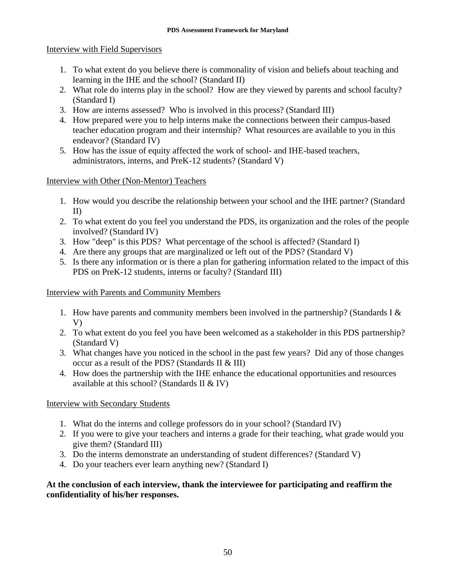### Interview with Field Supervisors

- 1. To what extent do you believe there is commonality of vision and beliefs about teaching and learning in the IHE and the school? (Standard II)
- 2. What role do interns play in the school? How are they viewed by parents and school faculty? (Standard I)
- 3. How are interns assessed? Who is involved in this process? (Standard III)
- 4. How prepared were you to help interns make the connections between their campus-based teacher education program and their internship? What resources are available to you in this endeavor? (Standard IV)
- 5. How has the issue of equity affected the work of school- and IHE-based teachers, administrators, interns, and PreK-12 students? (Standard V)

# Interview with Other (Non-Mentor) Teachers

- 1. How would you describe the relationship between your school and the IHE partner? (Standard II)
- 2. To what extent do you feel you understand the PDS, its organization and the roles of the people involved? (Standard IV)
- 3. How "deep" is this PDS? What percentage of the school is affected? (Standard I)
- 4. Are there any groups that are marginalized or left out of the PDS? (Standard V)
- 5. Is there any information or is there a plan for gathering information related to the impact of this PDS on PreK-12 students, interns or faculty? (Standard III)

# Interview with Parents and Community Members

- 1. How have parents and community members been involved in the partnership? (Standards I & V)
- 2. To what extent do you feel you have been welcomed as a stakeholder in this PDS partnership? (Standard V)
- 3. What changes have you noticed in the school in the past few years? Did any of those changes occur as a result of the PDS? (Standards II & III)
- 4. How does the partnership with the IHE enhance the educational opportunities and resources available at this school? (Standards II & IV)

# Interview with Secondary Students

- 1. What do the interns and college professors do in your school? (Standard IV)
- 2. If you were to give your teachers and interns a grade for their teaching, what grade would you give them? (Standard III)
- 3. Do the interns demonstrate an understanding of student differences? (Standard V)
- 4. Do your teachers ever learn anything new? (Standard I)

# **At the conclusion of each interview, thank the interviewee for participating and reaffirm the confidentiality of his/her responses.**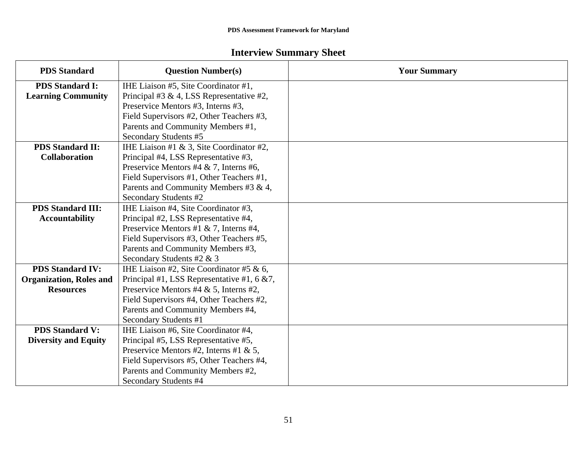# **Interview Summary Sheet**

| <b>PDS Standard</b>            | <b>Question Number(s)</b>                      | <b>Your Summary</b> |
|--------------------------------|------------------------------------------------|---------------------|
| <b>PDS Standard I:</b>         | IHE Liaison #5, Site Coordinator #1,           |                     |
| <b>Learning Community</b>      | Principal #3 & 4, LSS Representative #2,       |                     |
|                                | Preservice Mentors #3, Interns #3,             |                     |
|                                | Field Supervisors #2, Other Teachers #3,       |                     |
|                                | Parents and Community Members #1,              |                     |
|                                | Secondary Students #5                          |                     |
| <b>PDS Standard II:</b>        | IHE Liaison #1 & 3, Site Coordinator #2,       |                     |
| <b>Collaboration</b>           | Principal #4, LSS Representative #3,           |                     |
|                                | Preservice Mentors #4 & 7, Interns #6,         |                     |
|                                | Field Supervisors #1, Other Teachers #1,       |                     |
|                                | Parents and Community Members #3 & 4,          |                     |
|                                | Secondary Students #2                          |                     |
| <b>PDS Standard III:</b>       | IHE Liaison #4, Site Coordinator #3,           |                     |
| <b>Accountability</b>          | Principal #2, LSS Representative #4,           |                     |
|                                | Preservice Mentors #1 & 7, Interns #4,         |                     |
|                                | Field Supervisors #3, Other Teachers #5,       |                     |
|                                | Parents and Community Members #3,              |                     |
|                                | Secondary Students #2 & 3                      |                     |
| <b>PDS Standard IV:</b>        | IHE Liaison #2, Site Coordinator #5 & 6,       |                     |
| <b>Organization, Roles and</b> | Principal #1, LSS Representative #1, 6 $& 7$ , |                     |
| <b>Resources</b>               | Preservice Mentors #4 & 5, Interns #2,         |                     |
|                                | Field Supervisors #4, Other Teachers #2,       |                     |
|                                | Parents and Community Members #4,              |                     |
|                                | Secondary Students #1                          |                     |
| <b>PDS Standard V:</b>         | IHE Liaison #6, Site Coordinator #4,           |                     |
| <b>Diversity and Equity</b>    | Principal #5, LSS Representative #5,           |                     |
|                                | Preservice Mentors #2, Interns #1 & 5,         |                     |
|                                | Field Supervisors #5, Other Teachers #4,       |                     |
|                                | Parents and Community Members #2,              |                     |
|                                | Secondary Students #4                          |                     |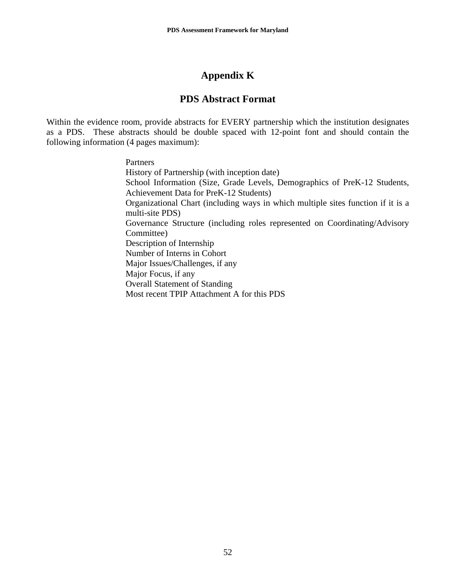# **Appendix K**

# **PDS Abstract Format**

Within the evidence room, provide abstracts for EVERY partnership which the institution designates as a PDS. These abstracts should be double spaced with 12-point font and should contain the following information (4 pages maximum):

Partners

History of Partnership (with inception date) School Information (Size, Grade Levels, Demographics of PreK-12 Students, Achievement Data for PreK-12 Students) Organizational Chart (including ways in which multiple sites function if it is a multi-site PDS) Governance Structure (including roles represented on Coordinating/Advisory Committee) Description of Internship Number of Interns in Cohort Major Issues/Challenges, if any Major Focus, if any Overall Statement of Standing Most recent TPIP Attachment A for this PDS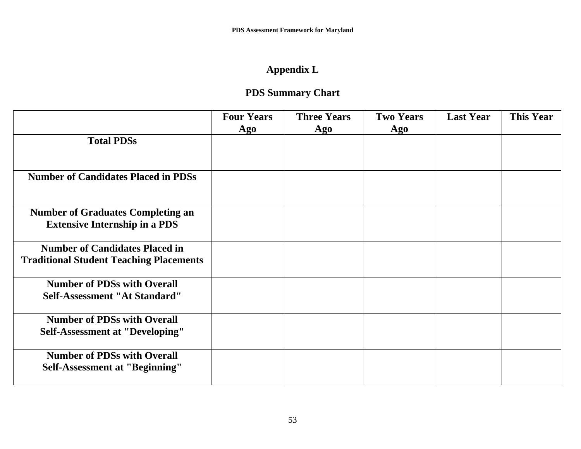# **Appendix L**

# **PDS Summary Chart**

|                                                | <b>Four Years</b> | <b>Three Years</b> | <b>Two Years</b> | <b>Last Year</b> | <b>This Year</b> |
|------------------------------------------------|-------------------|--------------------|------------------|------------------|------------------|
|                                                | Ago               | Ago                | Ago              |                  |                  |
| <b>Total PDSs</b>                              |                   |                    |                  |                  |                  |
|                                                |                   |                    |                  |                  |                  |
|                                                |                   |                    |                  |                  |                  |
| <b>Number of Candidates Placed in PDSs</b>     |                   |                    |                  |                  |                  |
|                                                |                   |                    |                  |                  |                  |
|                                                |                   |                    |                  |                  |                  |
| <b>Number of Graduates Completing an</b>       |                   |                    |                  |                  |                  |
| <b>Extensive Internship in a PDS</b>           |                   |                    |                  |                  |                  |
|                                                |                   |                    |                  |                  |                  |
| <b>Number of Candidates Placed in</b>          |                   |                    |                  |                  |                  |
| <b>Traditional Student Teaching Placements</b> |                   |                    |                  |                  |                  |
|                                                |                   |                    |                  |                  |                  |
| <b>Number of PDSs with Overall</b>             |                   |                    |                  |                  |                  |
| Self-Assessment "At Standard"                  |                   |                    |                  |                  |                  |
|                                                |                   |                    |                  |                  |                  |
| <b>Number of PDSs with Overall</b>             |                   |                    |                  |                  |                  |
| <b>Self-Assessment at "Developing"</b>         |                   |                    |                  |                  |                  |
|                                                |                   |                    |                  |                  |                  |
| <b>Number of PDSs with Overall</b>             |                   |                    |                  |                  |                  |
| <b>Self-Assessment at "Beginning"</b>          |                   |                    |                  |                  |                  |
|                                                |                   |                    |                  |                  |                  |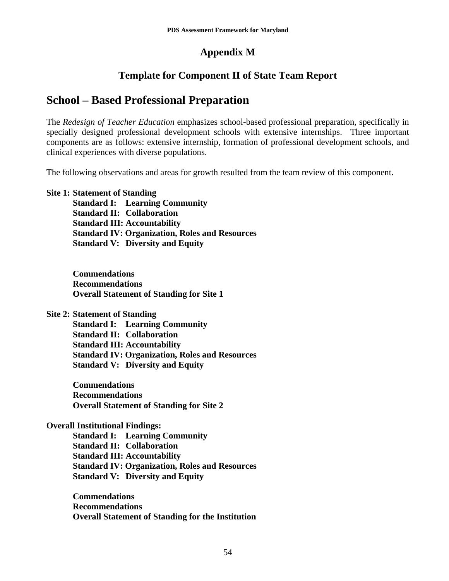# **Appendix M**

# **Template for Component II of State Team Report**

# **School – Based Professional Preparation**

The *Redesign of Teacher Education* emphasizes school-based professional preparation, specifically in specially designed professional development schools with extensive internships. Three important components are as follows: extensive internship, formation of professional development schools, and clinical experiences with diverse populations.

The following observations and areas for growth resulted from the team review of this component.

### **Site 1: Statement of Standing**

**Standard I: Learning Community Standard II: Collaboration Standard III: Accountability Standard IV: Organization, Roles and Resources Standard V: Diversity and Equity** 

**Commendations Recommendations Overall Statement of Standing for Site 1** 

**Site 2: Statement of Standing** 

**Standard I: Learning Community Standard II: Collaboration Standard III: Accountability Standard IV: Organization, Roles and Resources Standard V: Diversity and Equity** 

**Commendations Recommendations Overall Statement of Standing for Site 2** 

### **Overall Institutional Findings:**

**Standard I: Learning Community Standard II: Collaboration Standard III: Accountability Standard IV: Organization, Roles and Resources Standard V: Diversity and Equity** 

**Commendations Recommendations Overall Statement of Standing for the Institution**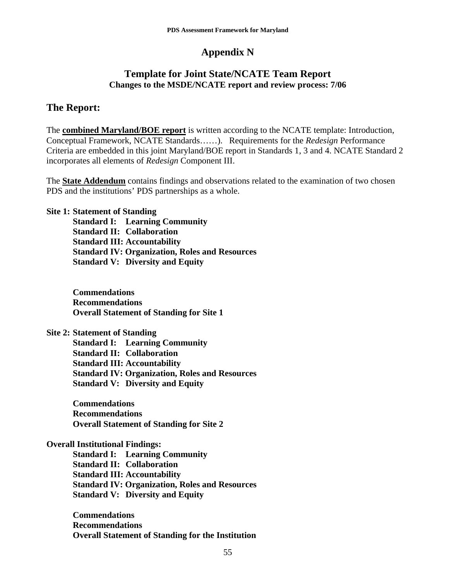# **Appendix N**

# **Template for Joint State/NCATE Team Report Changes to the MSDE/NCATE report and review process: 7/06**

# **The Report:**

The **combined Maryland/BOE report** is written according to the NCATE template: Introduction, Conceptual Framework, NCATE Standards……). Requirements for the *Redesign* Performance Criteria are embedded in this joint Maryland/BOE report in Standards 1, 3 and 4. NCATE Standard 2 incorporates all elements of *Redesign* Component III.

The **State Addendum** contains findings and observations related to the examination of two chosen PDS and the institutions' PDS partnerships as a whole.

### **Site 1: Statement of Standing**

**Standard I: Learning Community Standard II: Collaboration Standard III: Accountability Standard IV: Organization, Roles and Resources Standard V: Diversity and Equity** 

**Commendations Recommendations Overall Statement of Standing for Site 1** 

### **Site 2: Statement of Standing**

**Standard I: Learning Community Standard II: Collaboration Standard III: Accountability Standard IV: Organization, Roles and Resources Standard V: Diversity and Equity** 

**Commendations Recommendations Overall Statement of Standing for Site 2** 

### **Overall Institutional Findings:**

**Standard I: Learning Community Standard II: Collaboration Standard III: Accountability Standard IV: Organization, Roles and Resources Standard V: Diversity and Equity** 

**Commendations Recommendations Overall Statement of Standing for the Institution**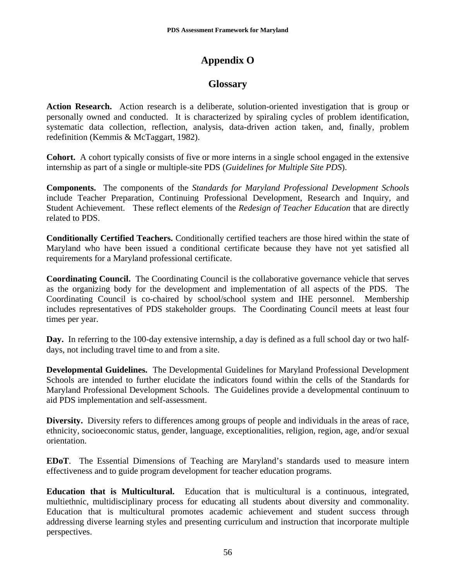# **Appendix O**

# **Glossary**

**Action Research.** Action research is a deliberate, solution-oriented investigation that is group or personally owned and conducted. It is characterized by spiraling cycles of problem identification, systematic data collection, reflection, analysis, data-driven action taken, and, finally, problem redefinition (Kemmis & McTaggart, 1982).

**Cohort.** A cohort typically consists of five or more interns in a single school engaged in the extensive internship as part of a single or multiple-site PDS (*Guidelines for Multiple Site PDS*).

**Components.** The components of the *Standards for Maryland Professional Development Schools* include Teacher Preparation, Continuing Professional Development, Research and Inquiry, and Student Achievement. These reflect elements of the *Redesign of Teacher Education* that are directly related to PDS.

**Conditionally Certified Teachers.** Conditionally certified teachers are those hired within the state of Maryland who have been issued a conditional certificate because they have not yet satisfied all requirements for a Maryland professional certificate.

**Coordinating Council.** The Coordinating Council is the collaborative governance vehicle that serves as the organizing body for the development and implementation of all aspects of the PDS. The Coordinating Council is co-chaired by school/school system and IHE personnel. Membership includes representatives of PDS stakeholder groups. The Coordinating Council meets at least four times per year.

**Day.** In referring to the 100-day extensive internship, a day is defined as a full school day or two halfdays, not including travel time to and from a site.

**Developmental Guidelines.** The Developmental Guidelines for Maryland Professional Development Schools are intended to further elucidate the indicators found within the cells of the Standards for Maryland Professional Development Schools. The Guidelines provide a developmental continuum to aid PDS implementation and self-assessment.

**Diversity.** Diversity refers to differences among groups of people and individuals in the areas of race, ethnicity, socioeconomic status, gender, language, exceptionalities, religion, region, age, and/or sexual orientation.

**EDoT**. The Essential Dimensions of Teaching are Maryland's standards used to measure intern effectiveness and to guide program development for teacher education programs.

**Education that is Multicultural.** Education that is multicultural is a continuous, integrated, multiethnic, multidisciplinary process for educating all students about diversity and commonality. Education that is multicultural promotes academic achievement and student success through addressing diverse learning styles and presenting curriculum and instruction that incorporate multiple perspectives.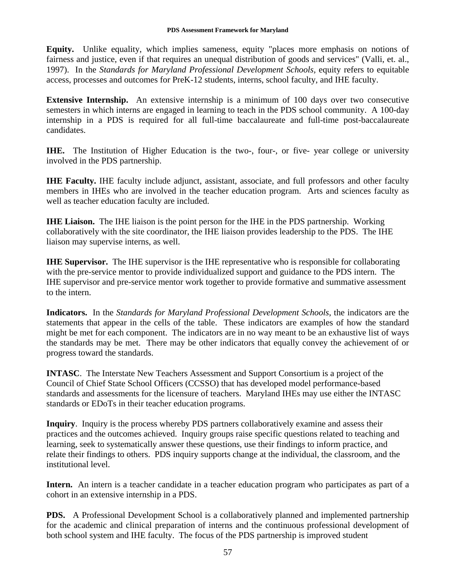**Equity.** Unlike equality, which implies sameness, equity "places more emphasis on notions of fairness and justice, even if that requires an unequal distribution of goods and services" (Valli, et. al., 1997). In the *Standards for Maryland Professional Development Schools,* equity refers to equitable access, processes and outcomes for PreK-12 students, interns, school faculty, and IHE faculty.

**Extensive Internship.** An extensive internship is a minimum of 100 days over two consecutive semesters in which interns are engaged in learning to teach in the PDS school community. A 100-day internship in a PDS is required for all full-time baccalaureate and full-time post-baccalaureate candidates.

**IHE.** The Institution of Higher Education is the two-, four-, or five- year college or university involved in the PDS partnership.

**IHE Faculty.** IHE faculty include adjunct, assistant, associate, and full professors and other faculty members in IHEs who are involved in the teacher education program. Arts and sciences faculty as well as teacher education faculty are included.

**IHE Liaison.** The IHE liaison is the point person for the IHE in the PDS partnership. Working collaboratively with the site coordinator, the IHE liaison provides leadership to the PDS. The IHE liaison may supervise interns, as well.

**IHE Supervisor.** The IHE supervisor is the IHE representative who is responsible for collaborating with the pre-service mentor to provide individualized support and guidance to the PDS intern. The IHE supervisor and pre-service mentor work together to provide formative and summative assessment to the intern.

**Indicators.** In the *Standards for Maryland Professional Development Schools*, the indicators are the statements that appear in the cells of the table. These indicators are examples of how the standard might be met for each component. The indicators are in no way meant to be an exhaustive list of ways the standards may be met. There may be other indicators that equally convey the achievement of or progress toward the standards.

**INTASC**. The Interstate New Teachers Assessment and Support Consortium is a project of the Council of Chief State School Officers (CCSSO) that has developed model performance-based standards and assessments for the licensure of teachers. Maryland IHEs may use either the INTASC standards or EDoTs in their teacher education programs.

**Inquiry**. Inquiry is the process whereby PDS partners collaboratively examine and assess their practices and the outcomes achieved. Inquiry groups raise specific questions related to teaching and learning, seek to systematically answer these questions, use their findings to inform practice, and relate their findings to others. PDS inquiry supports change at the individual, the classroom, and the institutional level.

Intern. An intern is a teacher candidate in a teacher education program who participates as part of a cohort in an extensive internship in a PDS.

**PDS.** A Professional Development School is a collaboratively planned and implemented partnership for the academic and clinical preparation of interns and the continuous professional development of both school system and IHE faculty. The focus of the PDS partnership is improved student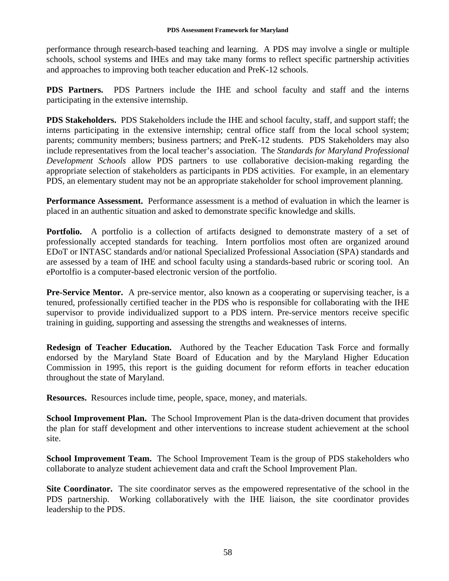performance through research-based teaching and learning. A PDS may involve a single or multiple schools, school systems and IHEs and may take many forms to reflect specific partnership activities and approaches to improving both teacher education and PreK-12 schools.

**PDS Partners.** PDS Partners include the IHE and school faculty and staff and the interns participating in the extensive internship.

**PDS Stakeholders.** PDS Stakeholders include the IHE and school faculty, staff, and support staff; the interns participating in the extensive internship; central office staff from the local school system; parents; community members; business partners; and PreK-12 students. PDS Stakeholders may also include representatives from the local teacher's association. The *Standards for Maryland Professional Development Schools* allow PDS partners to use collaborative decision-making regarding the appropriate selection of stakeholders as participants in PDS activities. For example, in an elementary PDS, an elementary student may not be an appropriate stakeholder for school improvement planning.

**Performance Assessment.** Performance assessment is a method of evaluation in which the learner is placed in an authentic situation and asked to demonstrate specific knowledge and skills.

**Portfolio.** A portfolio is a collection of artifacts designed to demonstrate mastery of a set of professionally accepted standards for teaching. Intern portfolios most often are organized around EDoT or INTASC standards and/or national Specialized Professional Association (SPA) standards and are assessed by a team of IHE and school faculty using a standards-based rubric or scoring tool. An ePortolfio is a computer-based electronic version of the portfolio.

**Pre-Service Mentor.** A pre-service mentor, also known as a cooperating or supervising teacher, is a tenured, professionally certified teacher in the PDS who is responsible for collaborating with the IHE supervisor to provide individualized support to a PDS intern. Pre-service mentors receive specific training in guiding, supporting and assessing the strengths and weaknesses of interns.

**Redesign of Teacher Education.** Authored by the Teacher Education Task Force and formally endorsed by the Maryland State Board of Education and by the Maryland Higher Education Commission in 1995, this report is the guiding document for reform efforts in teacher education throughout the state of Maryland.

**Resources.** Resources include time, people, space, money, and materials.

**School Improvement Plan.** The School Improvement Plan is the data-driven document that provides the plan for staff development and other interventions to increase student achievement at the school site.

**School Improvement Team.** The School Improvement Team is the group of PDS stakeholders who collaborate to analyze student achievement data and craft the School Improvement Plan.

**Site Coordinator.** The site coordinator serves as the empowered representative of the school in the PDS partnership. Working collaboratively with the IHE liaison, the site coordinator provides leadership to the PDS.